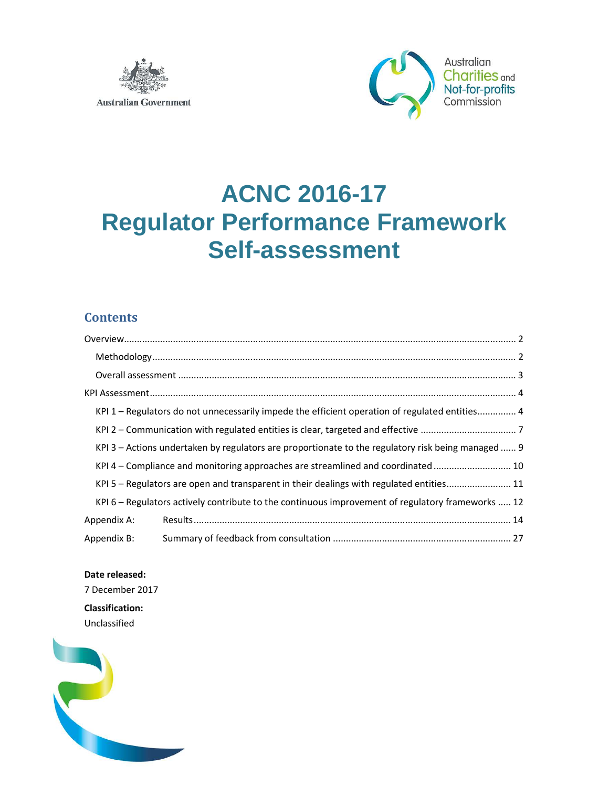



# **ACNC 2016-17 Regulator Performance Framework Self-assessment**

# **Contents**

| KPI 1 – Regulators do not unnecessarily impede the efficient operation of regulated entities 4    |                                                                                                    |  |  |  |  |  |  |
|---------------------------------------------------------------------------------------------------|----------------------------------------------------------------------------------------------------|--|--|--|--|--|--|
|                                                                                                   |                                                                                                    |  |  |  |  |  |  |
|                                                                                                   | KPI 3 – Actions undertaken by regulators are proportionate to the regulatory risk being managed  9 |  |  |  |  |  |  |
|                                                                                                   | KPI 4 - Compliance and monitoring approaches are streamlined and coordinated 10                    |  |  |  |  |  |  |
|                                                                                                   | KPI 5 - Regulators are open and transparent in their dealings with regulated entities 11           |  |  |  |  |  |  |
| KPI 6 – Regulators actively contribute to the continuous improvement of regulatory frameworks  12 |                                                                                                    |  |  |  |  |  |  |
| Appendix A:                                                                                       |                                                                                                    |  |  |  |  |  |  |
| Appendix B:                                                                                       |                                                                                                    |  |  |  |  |  |  |

**Date released:**  7 December 2017

**Classification:**  Unclassified

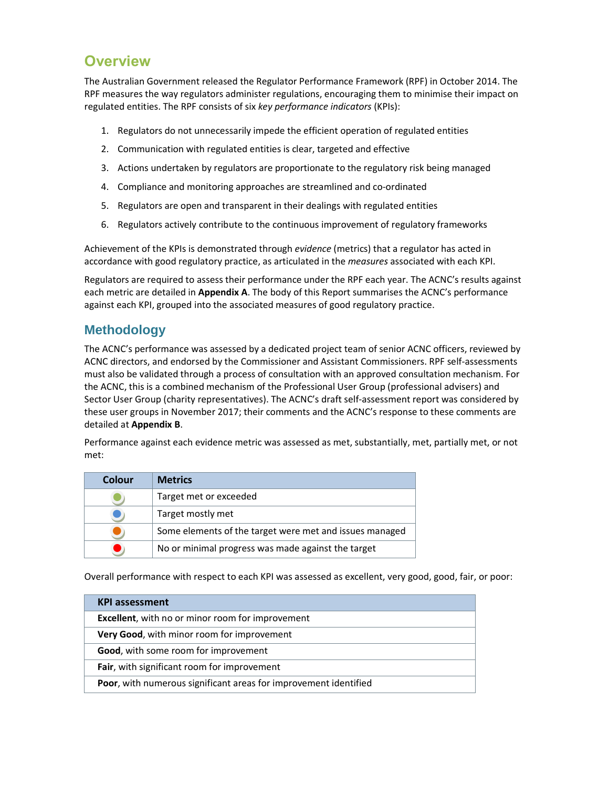# **Overview**

The Australian Government released the Regulator Performance Framework (RPF) in October 2014. The RPF measures the way regulators administer regulations, encouraging them to minimise their impact on regulated entities. The RPF consists of six *key performance indicators* (KPIs):

- 1. Regulators do not unnecessarily impede the efficient operation of regulated entities
- 2. Communication with regulated entities is clear, targeted and effective
- 3. Actions undertaken by regulators are proportionate to the regulatory risk being managed
- 4. Compliance and monitoring approaches are streamlined and co-ordinated
- 5. Regulators are open and transparent in their dealings with regulated entities
- 6. Regulators actively contribute to the continuous improvement of regulatory frameworks

Achievement of the KPIs is demonstrated through *evidence* (metrics) that a regulator has acted in accordance with good regulatory practice, as articulated in the *measures* associated with each KPI.

Regulators are required to assess their performance under the RPF each year. The ACNC's results against each metric are detailed in **Appendix A**. The body of this Report summarises the ACNC's performance against each KPI, grouped into the associated measures of good regulatory practice.

# **Methodology**

The ACNC's performance was assessed by a dedicated project team of senior ACNC officers, reviewed by ACNC directors, and endorsed by the Commissioner and Assistant Commissioners. RPF self-assessments must also be validated through a process of consultation with an approved consultation mechanism. For the ACNC, this is a combined mechanism of the Professional User Group (professional advisers) and Sector User Group (charity representatives). The ACNC's draft self-assessment report was considered by these user groups in November 2017; their comments and the ACNC's response to these comments are detailed at **Appendix B**.

Performance against each evidence metric was assessed as met, substantially, met, partially met, or not met:

| Colour | <b>Metrics</b>                                          |
|--------|---------------------------------------------------------|
|        | Target met or exceeded                                  |
|        | Target mostly met                                       |
|        | Some elements of the target were met and issues managed |
|        | No or minimal progress was made against the target      |

Overall performance with respect to each KPI was assessed as excellent, very good, good, fair, or poor:

| <b>KPI assessment</b>                                            |
|------------------------------------------------------------------|
| <b>Excellent</b> , with no or minor room for improvement         |
| Very Good, with minor room for improvement                       |
| <b>Good, with some room for improvement</b>                      |
| Fair, with significant room for improvement                      |
| Poor, with numerous significant areas for improvement identified |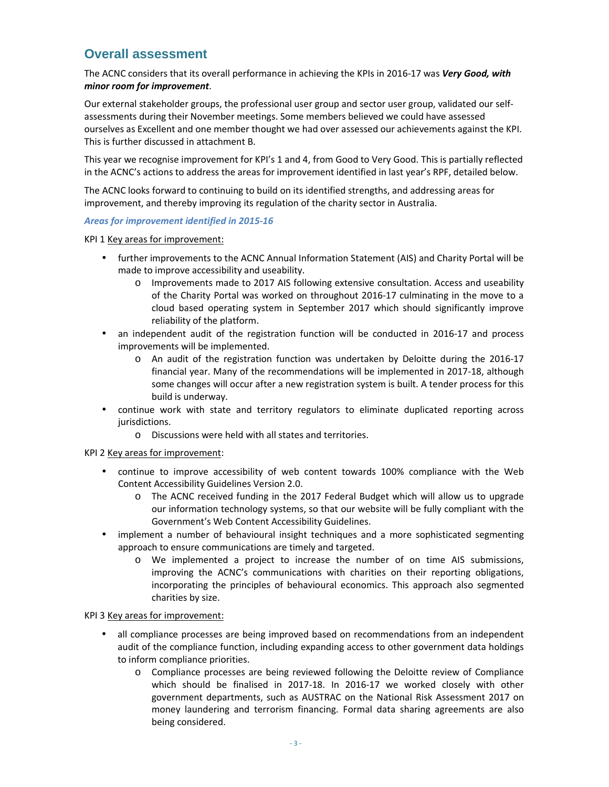## **Overall assessment**

The ACNC considers that its overall performance in achieving the KPIs in 2016-17 was *Very Good, with minor room for improvement*.

Our external stakeholder groups, the professional user group and sector user group, validated our selfassessments during their November meetings. Some members believed we could have assessed ourselves as Excellent and one member thought we had over assessed our achievements against the KPI. This is further discussed in attachment B.

This year we recognise improvement for KPI's 1 and 4, from Good to Very Good. This is partially reflected in the ACNC's actions to address the areas for improvement identified in last year's RPF, detailed below.

The ACNC looks forward to continuing to build on its identified strengths, and addressing areas for improvement, and thereby improving its regulation of the charity sector in Australia.

#### *Areas for improvement identified in 2015-16*

KPI 1 Key areas for improvement:

- further improvements to the ACNC Annual Information Statement (AIS) and Charity Portal will be made to improve accessibility and useability.
	- o Improvements made to 2017 AIS following extensive consultation. Access and useability of the Charity Portal was worked on throughout 2016-17 culminating in the move to a cloud based operating system in September 2017 which should significantly improve reliability of the platform.
- an independent audit of the registration function will be conducted in 2016-17 and process improvements will be implemented.
	- o An audit of the registration function was undertaken by Deloitte during the 2016-17 financial year. Many of the recommendations will be implemented in 2017-18, although some changes will occur after a new registration system is built. A tender process for this build is underway.
- continue work with state and territory regulators to eliminate duplicated reporting across jurisdictions.
	- o Discussions were held with all states and territories.

#### KPI 2 Key areas for improvement:

- continue to improve accessibility of web content towards 100% compliance with the Web Content Accessibility Guidelines Version 2.0.
	- o The ACNC received funding in the 2017 Federal Budget which will allow us to upgrade our information technology systems, so that our website will be fully compliant with the Government's Web Content Accessibility Guidelines.
- implement a number of behavioural insight techniques and a more sophisticated segmenting approach to ensure communications are timely and targeted.
	- o We implemented a project to increase the number of on time AIS submissions, improving the ACNC's communications with charities on their reporting obligations, incorporating the principles of behavioural economics. This approach also segmented charities by size.

#### KPI 3 Key areas for improvement:

- all compliance processes are being improved based on recommendations from an independent audit of the compliance function, including expanding access to other government data holdings to inform compliance priorities.
	- o Compliance processes are being reviewed following the Deloitte review of Compliance which should be finalised in 2017-18. In 2016-17 we worked closely with other government departments, such as AUSTRAC on the National Risk Assessment 2017 on money laundering and terrorism financing. Formal data sharing agreements are also being considered.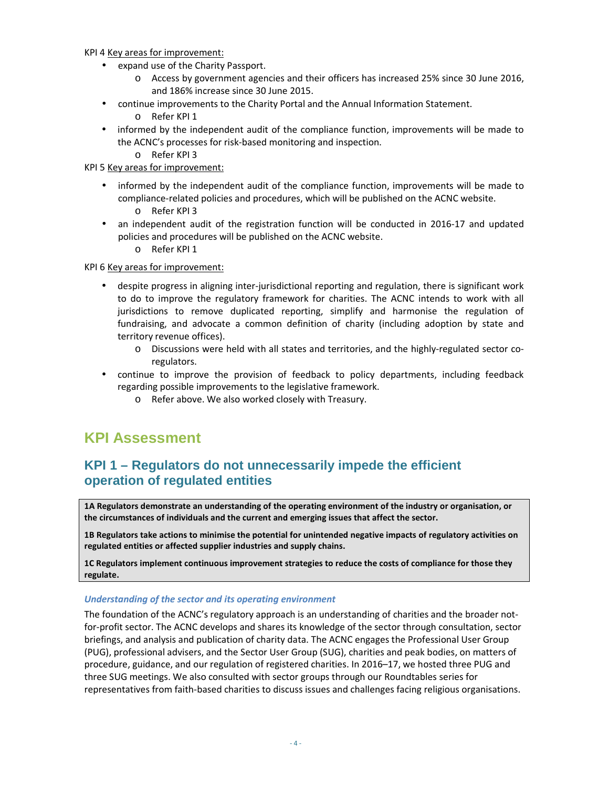KPI 4 Key areas for improvement:

- expand use of the Charity Passport.
	- o Access by government agencies and their officers has increased 25% since 30 June 2016, and 186% increase since 30 June 2015.
- continue improvements to the Charity Portal and the Annual Information Statement.
	- o Refer KPI 1
- informed by the independent audit of the compliance function, improvements will be made to the ACNC's processes for risk-based monitoring and inspection.
	- o Refer KPI 3

KPI 5 Key areas for improvement:

- informed by the independent audit of the compliance function, improvements will be made to compliance-related policies and procedures, which will be published on the ACNC website.
	- o Refer KPI 3
- an independent audit of the registration function will be conducted in 2016-17 and updated policies and procedures will be published on the ACNC website.
	- o Refer KPI 1

KPI 6 Key areas for improvement:

- despite progress in aligning inter-jurisdictional reporting and regulation, there is significant work to do to improve the regulatory framework for charities. The ACNC intends to work with all jurisdictions to remove duplicated reporting, simplify and harmonise the regulation of fundraising, and advocate a common definition of charity (including adoption by state and territory revenue offices).
	- o Discussions were held with all states and territories, and the highly-regulated sector coregulators.
- continue to improve the provision of feedback to policy departments, including feedback regarding possible improvements to the legislative framework.
	- o Refer above. We also worked closely with Treasury.

# **KPI Assessment**

# **KPI 1 – Regulators do not unnecessarily impede the efficient operation of regulated entities**

**1A Regulators demonstrate an understanding of the operating environment of the industry or organisation, or the circumstances of individuals and the current and emerging issues that affect the sector.** 

**1B Regulators take actions to minimise the potential for unintended negative impacts of regulatory activities on regulated entities or affected supplier industries and supply chains.** 

**1C Regulators implement continuous improvement strategies to reduce the costs of compliance for those they regulate.** 

#### *Understanding of the sector and its operating environment*

The foundation of the ACNC's regulatory approach is an understanding of charities and the broader notfor-profit sector. The ACNC develops and shares its knowledge of the sector through consultation, sector briefings, and analysis and publication of charity data. The ACNC engages the Professional User Group (PUG), professional advisers, and the Sector User Group (SUG), charities and peak bodies, on matters of procedure, guidance, and our regulation of registered charities. In 2016–17, we hosted three PUG and three SUG meetings. We also consulted with sector groups through our Roundtables series for representatives from faith-based charities to discuss issues and challenges facing religious organisations.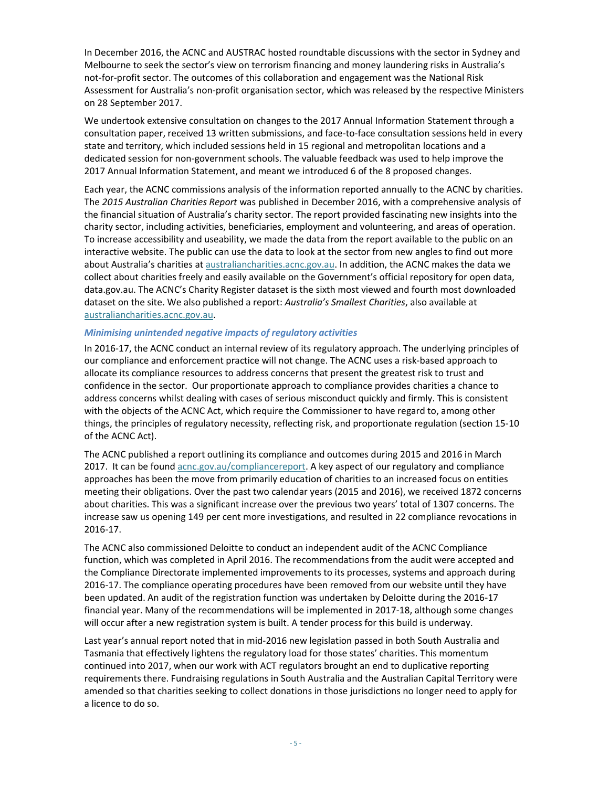In December 2016, the ACNC and AUSTRAC hosted roundtable discussions with the sector in Sydney and Melbourne to seek the sector's view on terrorism financing and money laundering risks in Australia's not-for-profit sector. The outcomes of this collaboration and engagement was the National Risk Assessment for Australia's non-profit organisation sector, which was released by the respective Ministers on 28 September 2017.

We undertook extensive consultation on changes to the 2017 Annual Information Statement through a consultation paper, received 13 written submissions, and face-to-face consultation sessions held in every state and territory, which included sessions held in 15 regional and metropolitan locations and a dedicated session for non-government schools. The valuable feedback was used to help improve the 2017 Annual Information Statement, and meant we introduced 6 of the 8 proposed changes.

Each year, the ACNC commissions analysis of the information reported annually to the ACNC by charities. The *2015 Australian Charities Report* was published in December 2016, with a comprehensive analysis of the financial situation of Australia's charity sector. The report provided fascinating new insights into the charity sector, including activities, beneficiaries, employment and volunteering, and areas of operation. To increase accessibility and useability, we made the data from the report available to the public on an interactive website. The public can use the data to look at the sector from new angles to find out more about Australia's charities at australiancharities.acnc.gov.au. In addition, the ACNC makes the data we collect about charities freely and easily available on the Government's official repository for open data, data.gov.au. The ACNC's Charity Register dataset is the sixth most viewed and fourth most downloaded dataset on the site. We also published a report: *Australia's Smallest Charities*, also available at australiancharities.acnc.gov.au.

#### *Minimising unintended negative impacts of regulatory activities*

In 2016-17, the ACNC conduct an internal review of its regulatory approach. The underlying principles of our compliance and enforcement practice will not change. The ACNC uses a risk-based approach to allocate its compliance resources to address concerns that present the greatest risk to trust and confidence in the sector. Our proportionate approach to compliance provides charities a chance to address concerns whilst dealing with cases of serious misconduct quickly and firmly. This is consistent with the objects of the ACNC Act, which require the Commissioner to have regard to, among other things, the principles of regulatory necessity, reflecting risk, and proportionate regulation (section 15-10 of the ACNC Act).

The ACNC published a report outlining its compliance and outcomes during 2015 and 2016 in March 2017. It can be found acnc.gov.au/compliancereport. A key aspect of our regulatory and compliance approaches has been the move from primarily education of charities to an increased focus on entities meeting their obligations. Over the past two calendar years (2015 and 2016), we received 1872 concerns about charities. This was a significant increase over the previous two years' total of 1307 concerns. The increase saw us opening 149 per cent more investigations, and resulted in 22 compliance revocations in 2016-17.

The ACNC also commissioned Deloitte to conduct an independent audit of the ACNC Compliance function, which was completed in April 2016. The recommendations from the audit were accepted and the Compliance Directorate implemented improvements to its processes, systems and approach during 2016-17. The compliance operating procedures have been removed from our website until they have been updated. An audit of the registration function was undertaken by Deloitte during the 2016-17 financial year. Many of the recommendations will be implemented in 2017-18, although some changes will occur after a new registration system is built. A tender process for this build is underway.

Last year's annual report noted that in mid-2016 new legislation passed in both South Australia and Tasmania that effectively lightens the regulatory load for those states' charities. This momentum continued into 2017, when our work with ACT regulators brought an end to duplicative reporting requirements there. Fundraising regulations in South Australia and the Australian Capital Territory were amended so that charities seeking to collect donations in those jurisdictions no longer need to apply for a licence to do so.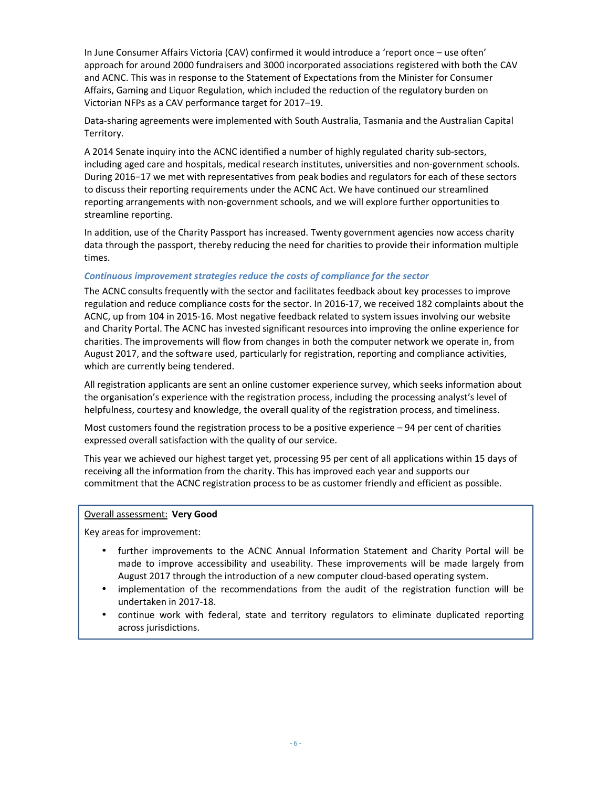In June Consumer Affairs Victoria (CAV) confirmed it would introduce a 'report once – use often' approach for around 2000 fundraisers and 3000 incorporated associations registered with both the CAV and ACNC. This was in response to the Statement of Expectations from the Minister for Consumer Affairs, Gaming and Liquor Regulation, which included the reduction of the regulatory burden on Victorian NFPs as a CAV performance target for 2017–19.

Data-sharing agreements were implemented with South Australia, Tasmania and the Australian Capital Territory.

A 2014 Senate inquiry into the ACNC identified a number of highly regulated charity sub-sectors, including aged care and hospitals, medical research institutes, universities and non-government schools. During 2016−17 we met with representatives from peak bodies and regulators for each of these sectors to discuss their reporting requirements under the ACNC Act. We have continued our streamlined reporting arrangements with non-government schools, and we will explore further opportunities to streamline reporting.

In addition, use of the Charity Passport has increased. Twenty government agencies now access charity data through the passport, thereby reducing the need for charities to provide their information multiple times.

#### *Continuous improvement strategies reduce the costs of compliance for the sector*

The ACNC consults frequently with the sector and facilitates feedback about key processes to improve regulation and reduce compliance costs for the sector. In 2016-17, we received 182 complaints about the ACNC, up from 104 in 2015-16. Most negative feedback related to system issues involving our website and Charity Portal. The ACNC has invested significant resources into improving the online experience for charities. The improvements will flow from changes in both the computer network we operate in, from August 2017, and the software used, particularly for registration, reporting and compliance activities, which are currently being tendered.

All registration applicants are sent an online customer experience survey, which seeks information about the organisation's experience with the registration process, including the processing analyst's level of helpfulness, courtesy and knowledge, the overall quality of the registration process, and timeliness.

Most customers found the registration process to be a positive experience – 94 per cent of charities expressed overall satisfaction with the quality of our service.

This year we achieved our highest target yet, processing 95 per cent of all applications within 15 days of receiving all the information from the charity. This has improved each year and supports our commitment that the ACNC registration process to be as customer friendly and efficient as possible.

#### Overall assessment: **Very Good**

Key areas for improvement:

- further improvements to the ACNC Annual Information Statement and Charity Portal will be made to improve accessibility and useability. These improvements will be made largely from August 2017 through the introduction of a new computer cloud-based operating system.
- implementation of the recommendations from the audit of the registration function will be undertaken in 2017-18.
- continue work with federal, state and territory regulators to eliminate duplicated reporting across jurisdictions.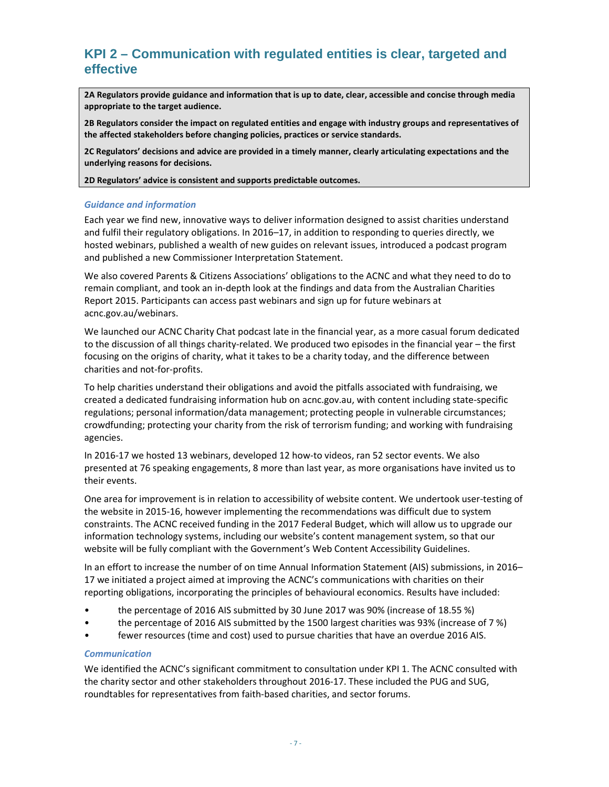# **KPI 2 – Communication with regulated entities is clear, targeted and effective**

**2A Regulators provide guidance and information that is up to date, clear, accessible and concise through media appropriate to the target audience.** 

**2B Regulators consider the impact on regulated entities and engage with industry groups and representatives of the affected stakeholders before changing policies, practices or service standards.** 

**2C Regulators' decisions and advice are provided in a timely manner, clearly articulating expectations and the underlying reasons for decisions.** 

**2D Regulators' advice is consistent and supports predictable outcomes.** 

#### *Guidance and information*

Each year we find new, innovative ways to deliver information designed to assist charities understand and fulfil their regulatory obligations. In 2016–17, in addition to responding to queries directly, we hosted webinars, published a wealth of new guides on relevant issues, introduced a podcast program and published a new Commissioner Interpretation Statement.

We also covered Parents & Citizens Associations' obligations to the ACNC and what they need to do to remain compliant, and took an in-depth look at the findings and data from the Australian Charities Report 2015. Participants can access past webinars and sign up for future webinars at acnc.gov.au/webinars.

We launched our ACNC Charity Chat podcast late in the financial year, as a more casual forum dedicated to the discussion of all things charity-related. We produced two episodes in the financial year – the first focusing on the origins of charity, what it takes to be a charity today, and the difference between charities and not-for-profits.

To help charities understand their obligations and avoid the pitfalls associated with fundraising, we created a dedicated fundraising information hub on acnc.gov.au, with content including state-specific regulations; personal information/data management; protecting people in vulnerable circumstances; crowdfunding; protecting your charity from the risk of terrorism funding; and working with fundraising agencies.

In 2016-17 we hosted 13 webinars, developed 12 how-to videos, ran 52 sector events. We also presented at 76 speaking engagements, 8 more than last year, as more organisations have invited us to their events.

One area for improvement is in relation to accessibility of website content. We undertook user-testing of the website in 2015-16, however implementing the recommendations was difficult due to system constraints. The ACNC received funding in the 2017 Federal Budget, which will allow us to upgrade our information technology systems, including our website's content management system, so that our website will be fully compliant with the Government's Web Content Accessibility Guidelines.

In an effort to increase the number of on time Annual Information Statement (AIS) submissions, in 2016– 17 we initiated a project aimed at improving the ACNC's communications with charities on their reporting obligations, incorporating the principles of behavioural economics. Results have included:

- the percentage of 2016 AIS submitted by 30 June 2017 was 90% (increase of 18.55 %)
- the percentage of 2016 AIS submitted by the 1500 largest charities was 93% (increase of 7 %)
- fewer resources (time and cost) used to pursue charities that have an overdue 2016 AIS.

#### *Communication*

We identified the ACNC's significant commitment to consultation under KPI 1. The ACNC consulted with the charity sector and other stakeholders throughout 2016-17. These included the PUG and SUG, roundtables for representatives from faith-based charities, and sector forums.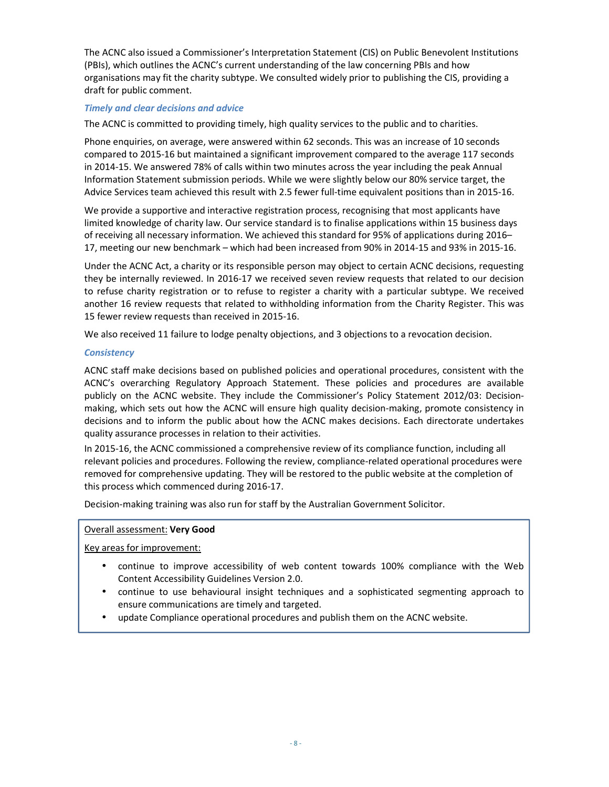The ACNC also issued a Commissioner's Interpretation Statement (CIS) on Public Benevolent Institutions (PBIs), which outlines the ACNC's current understanding of the law concerning PBIs and how organisations may fit the charity subtype. We consulted widely prior to publishing the CIS, providing a draft for public comment.

#### *Timely and clear decisions and advice*

The ACNC is committed to providing timely, high quality services to the public and to charities.

Phone enquiries, on average, were answered within 62 seconds. This was an increase of 10 seconds compared to 2015-16 but maintained a significant improvement compared to the average 117 seconds in 2014-15. We answered 78% of calls within two minutes across the year including the peak Annual Information Statement submission periods. While we were slightly below our 80% service target, the Advice Services team achieved this result with 2.5 fewer full-time equivalent positions than in 2015-16.

We provide a supportive and interactive registration process, recognising that most applicants have limited knowledge of charity law. Our service standard is to finalise applications within 15 business days of receiving all necessary information. We achieved this standard for 95% of applications during 2016– 17, meeting our new benchmark – which had been increased from 90% in 2014-15 and 93% in 2015-16.

Under the ACNC Act, a charity or its responsible person may object to certain ACNC decisions, requesting they be internally reviewed. In 2016-17 we received seven review requests that related to our decision to refuse charity registration or to refuse to register a charity with a particular subtype. We received another 16 review requests that related to withholding information from the Charity Register. This was 15 fewer review requests than received in 2015-16.

We also received 11 failure to lodge penalty objections, and 3 objections to a revocation decision.

#### *Consistency*

ACNC staff make decisions based on published policies and operational procedures, consistent with the ACNC's overarching Regulatory Approach Statement. These policies and procedures are available publicly on the ACNC website. They include the Commissioner's Policy Statement 2012/03: Decisionmaking, which sets out how the ACNC will ensure high quality decision-making, promote consistency in decisions and to inform the public about how the ACNC makes decisions. Each directorate undertakes quality assurance processes in relation to their activities.

In 2015-16, the ACNC commissioned a comprehensive review of its compliance function, including all relevant policies and procedures. Following the review, compliance-related operational procedures were removed for comprehensive updating. They will be restored to the public website at the completion of this process which commenced during 2016-17.

Decision-making training was also run for staff by the Australian Government Solicitor.

#### Overall assessment: **Very Good**

Key areas for improvement:

j

- continue to improve accessibility of web content towards 100% compliance with the Web Content Accessibility Guidelines Version 2.0.
- continue to use behavioural insight techniques and a sophisticated segmenting approach to ensure communications are timely and targeted.
- update Compliance operational procedures and publish them on the ACNC website.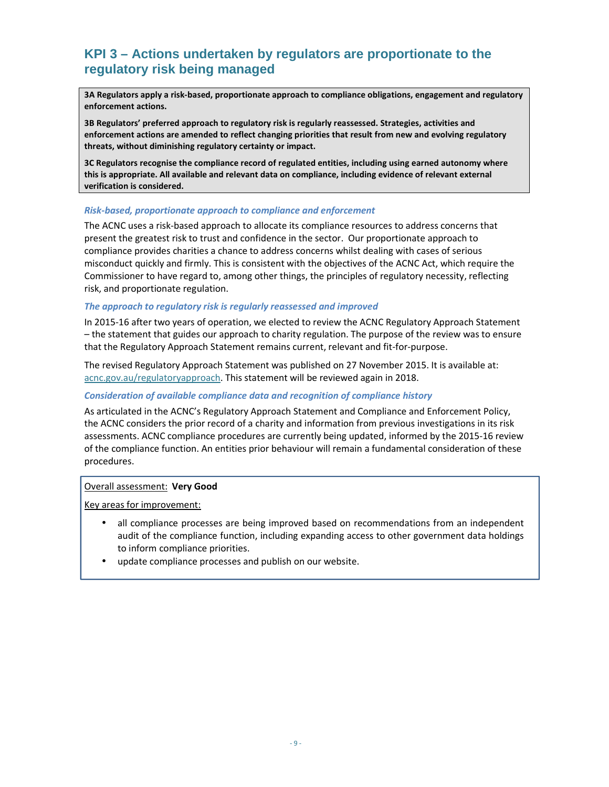# **KPI 3 – Actions undertaken by regulators are proportionate to the regulatory risk being managed**

**3A Regulators apply a risk-based, proportionate approach to compliance obligations, engagement and regulatory enforcement actions.** 

**3B Regulators' preferred approach to regulatory risk is regularly reassessed. Strategies, activities and enforcement actions are amended to reflect changing priorities that result from new and evolving regulatory threats, without diminishing regulatory certainty or impact.** 

**3C Regulators recognise the compliance record of regulated entities, including using earned autonomy where this is appropriate. All available and relevant data on compliance, including evidence of relevant external verification is considered.** 

#### *Risk-based, proportionate approach to compliance and enforcement*

The ACNC uses a risk-based approach to allocate its compliance resources to address concerns that present the greatest risk to trust and confidence in the sector. Our proportionate approach to compliance provides charities a chance to address concerns whilst dealing with cases of serious misconduct quickly and firmly. This is consistent with the objectives of the ACNC Act, which require the Commissioner to have regard to, among other things, the principles of regulatory necessity, reflecting risk, and proportionate regulation.

#### *The approach to regulatory risk is regularly reassessed and improved*

In 2015-16 after two years of operation, we elected to review the ACNC Regulatory Approach Statement – the statement that guides our approach to charity regulation. The purpose of the review was to ensure that the Regulatory Approach Statement remains current, relevant and fit-for-purpose.

The revised Regulatory Approach Statement was published on 27 November 2015. It is available at: acnc.gov.au/regulatoryapproach. This statement will be reviewed again in 2018.

#### *Consideration of available compliance data and recognition of compliance history*

As articulated in the ACNC's Regulatory Approach Statement and Compliance and Enforcement Policy, the ACNC considers the prior record of a charity and information from previous investigations in its risk assessments. ACNC compliance procedures are currently being updated, informed by the 2015-16 review of the compliance function. An entities prior behaviour will remain a fundamental consideration of these procedures.

#### Overall assessment: **Very Good**

Key areas for improvement:

- all compliance processes are being improved based on recommendations from an independent audit of the compliance function, including expanding access to other government data holdings to inform compliance priorities.
- update compliance processes and publish on our website.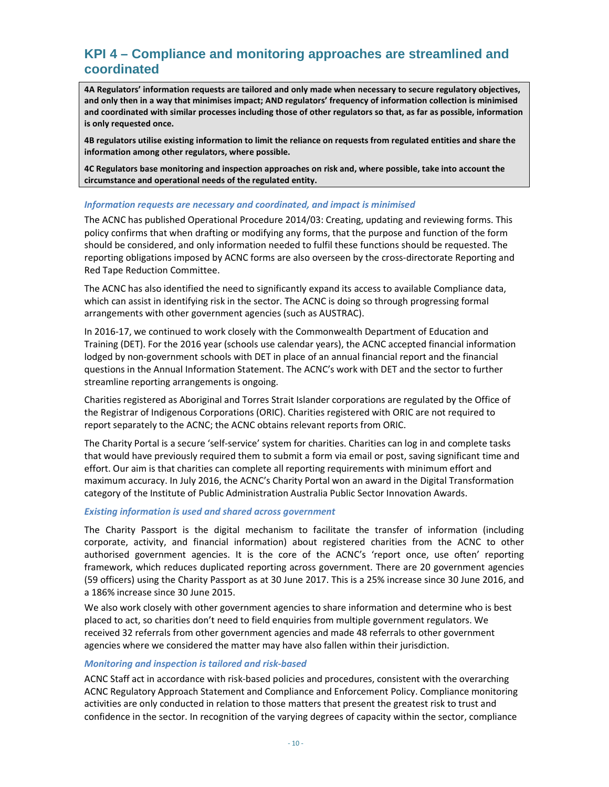# **KPI 4 – Compliance and monitoring approaches are streamlined and coordinated**

**4A Regulators' information requests are tailored and only made when necessary to secure regulatory objectives, and only then in a way that minimises impact; AND regulators' frequency of information collection is minimised and coordinated with similar processes including those of other regulators so that, as far as possible, information is only requested once.** 

**4B regulators utilise existing information to limit the reliance on requests from regulated entities and share the information among other regulators, where possible.** 

**4C Regulators base monitoring and inspection approaches on risk and, where possible, take into account the circumstance and operational needs of the regulated entity.** 

#### *Information requests are necessary and coordinated, and impact is minimised*

The ACNC has published Operational Procedure 2014/03: Creating, updating and reviewing forms. This policy confirms that when drafting or modifying any forms, that the purpose and function of the form should be considered, and only information needed to fulfil these functions should be requested. The reporting obligations imposed by ACNC forms are also overseen by the cross-directorate Reporting and Red Tape Reduction Committee.

The ACNC has also identified the need to significantly expand its access to available Compliance data, which can assist in identifying risk in the sector. The ACNC is doing so through progressing formal arrangements with other government agencies (such as AUSTRAC).

In 2016-17, we continued to work closely with the Commonwealth Department of Education and Training (DET). For the 2016 year (schools use calendar years), the ACNC accepted financial information lodged by non-government schools with DET in place of an annual financial report and the financial questions in the Annual Information Statement. The ACNC's work with DET and the sector to further streamline reporting arrangements is ongoing.

Charities registered as Aboriginal and Torres Strait Islander corporations are regulated by the Office of the Registrar of Indigenous Corporations (ORIC). Charities registered with ORIC are not required to report separately to the ACNC; the ACNC obtains relevant reports from ORIC.

The Charity Portal is a secure 'self-service' system for charities. Charities can log in and complete tasks that would have previously required them to submit a form via email or post, saving significant time and effort. Our aim is that charities can complete all reporting requirements with minimum effort and maximum accuracy. In July 2016, the ACNC's Charity Portal won an award in the Digital Transformation category of the Institute of Public Administration Australia Public Sector Innovation Awards.

#### *Existing information is used and shared across government*

The Charity Passport is the digital mechanism to facilitate the transfer of information (including corporate, activity, and financial information) about registered charities from the ACNC to other authorised government agencies. It is the core of the ACNC's 'report once, use often' reporting framework, which reduces duplicated reporting across government. There are 20 government agencies (59 officers) using the Charity Passport as at 30 June 2017. This is a 25% increase since 30 June 2016, and a 186% increase since 30 June 2015.

We also work closely with other government agencies to share information and determine who is best placed to act, so charities don't need to field enquiries from multiple government regulators. We received 32 referrals from other government agencies and made 48 referrals to other government agencies where we considered the matter may have also fallen within their jurisdiction.

#### *Monitoring and inspection is tailored and risk-based*

ACNC Staff act in accordance with risk-based policies and procedures, consistent with the overarching ACNC Regulatory Approach Statement and Compliance and Enforcement Policy. Compliance monitoring activities are only conducted in relation to those matters that present the greatest risk to trust and confidence in the sector. In recognition of the varying degrees of capacity within the sector, compliance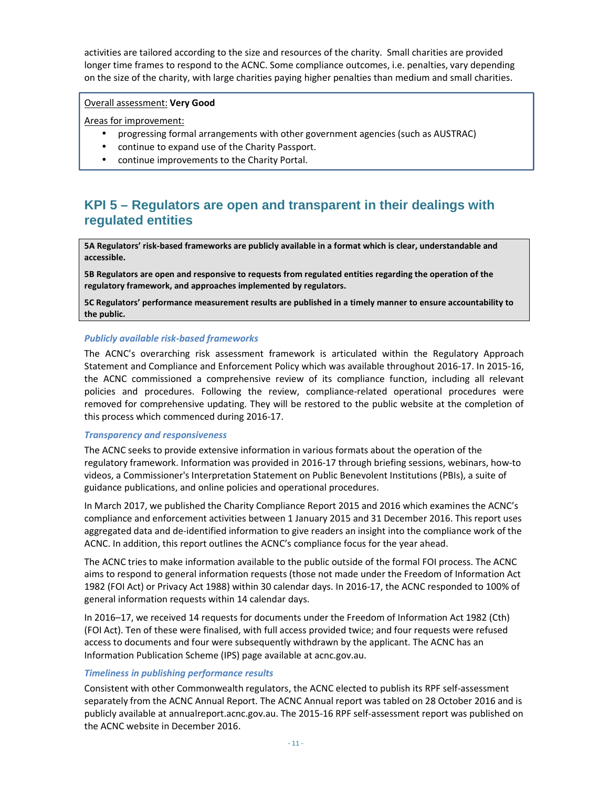activities are tailored according to the size and resources of the charity. Small charities are provided longer time frames to respond to the ACNC. Some compliance outcomes, i.e. penalties, vary depending on the size of the charity, with large charities paying higher penalties than medium and small charities.

#### Overall assessment: **Very Good**

Areas for improvement:

- progressing formal arrangements with other government agencies (such as AUSTRAC)
- continue to expand use of the Charity Passport.
- continue improvements to the Charity Portal.

# **KPI 5 – Regulators are open and transparent in their dealings with regulated entities**

**5A Regulators' risk-based frameworks are publicly available in a format which is clear, understandable and accessible.** 

**5B Regulators are open and responsive to requests from regulated entities regarding the operation of the regulatory framework, and approaches implemented by regulators.** 

**5C Regulators' performance measurement results are published in a timely manner to ensure accountability to the public.** 

#### *Publicly available risk-based frameworks*

The ACNC's overarching risk assessment framework is articulated within the Regulatory Approach Statement and Compliance and Enforcement Policy which was available throughout 2016-17. In 2015-16, the ACNC commissioned a comprehensive review of its compliance function, including all relevant policies and procedures. Following the review, compliance-related operational procedures were removed for comprehensive updating. They will be restored to the public website at the completion of this process which commenced during 2016-17.

#### *Transparency and responsiveness*

The ACNC seeks to provide extensive information in various formats about the operation of the regulatory framework. Information was provided in 2016-17 through briefing sessions, webinars, how-to videos, a Commissioner's Interpretation Statement on Public Benevolent Institutions (PBIs), a suite of guidance publications, and online policies and operational procedures.

In March 2017, we published the Charity Compliance Report 2015 and 2016 which examines the ACNC's compliance and enforcement activities between 1 January 2015 and 31 December 2016. This report uses aggregated data and de-identified information to give readers an insight into the compliance work of the ACNC. In addition, this report outlines the ACNC's compliance focus for the year ahead.

The ACNC tries to make information available to the public outside of the formal FOI process. The ACNC aims to respond to general information requests (those not made under the Freedom of Information Act 1982 (FOI Act) or Privacy Act 1988) within 30 calendar days. In 2016-17, the ACNC responded to 100% of general information requests within 14 calendar days.

In 2016–17, we received 14 requests for documents under the Freedom of Information Act 1982 (Cth) (FOI Act). Ten of these were finalised, with full access provided twice; and four requests were refused access to documents and four were subsequently withdrawn by the applicant. The ACNC has an Information Publication Scheme (IPS) page available at acnc.gov.au.

#### *Timeliness in publishing performance results*

Consistent with other Commonwealth regulators, the ACNC elected to publish its RPF self-assessment separately from the ACNC Annual Report. The ACNC Annual report was tabled on 28 October 2016 and is publicly available at annualreport.acnc.gov.au. The 2015-16 RPF self-assessment report was published on the ACNC website in December 2016.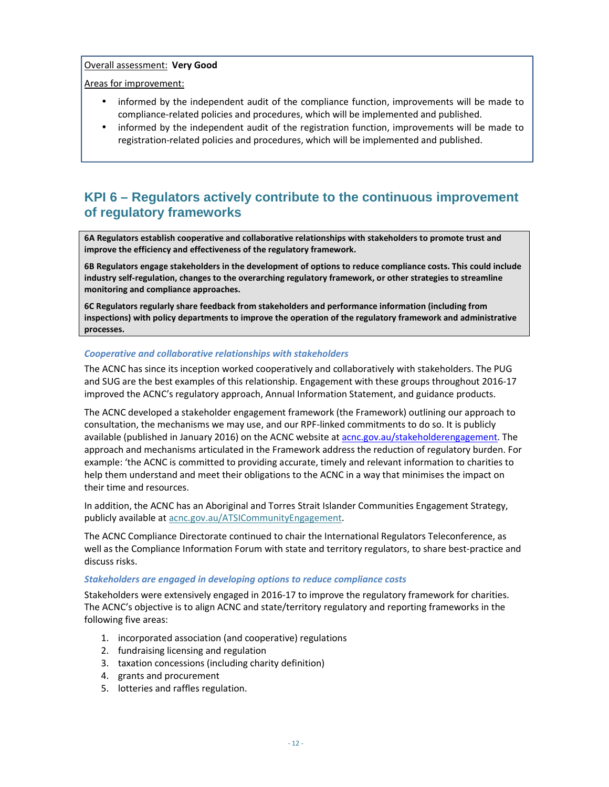#### Overall assessment: **Very Good**

#### Areas for improvement:

- informed by the independent audit of the compliance function, improvements will be made to compliance-related policies and procedures, which will be implemented and published.
- informed by the independent audit of the registration function, improvements will be made to registration-related policies and procedures, which will be implemented and published.

# **KPI 6 – Regulators actively contribute to the continuous improvement of regulatory frameworks**

**6A Regulators establish cooperative and collaborative relationships with stakeholders to promote trust and improve the efficiency and effectiveness of the regulatory framework.** 

**6B Regulators engage stakeholders in the development of options to reduce compliance costs. This could include industry self-regulation, changes to the overarching regulatory framework, or other strategies to streamline monitoring and compliance approaches.** 

**6C Regulators regularly share feedback from stakeholders and performance information (including from inspections) with policy departments to improve the operation of the regulatory framework and administrative processes.** 

#### *Cooperative and collaborative relationships with stakeholders*

The ACNC has since its inception worked cooperatively and collaboratively with stakeholders. The PUG and SUG are the best examples of this relationship. Engagement with these groups throughout 2016-17 improved the ACNC's regulatory approach, Annual Information Statement, and guidance products.

The ACNC developed a stakeholder engagement framework (the Framework) outlining our approach to consultation, the mechanisms we may use, and our RPF-linked commitments to do so. It is publicly available (published in January 2016) on the ACNC website at acnc.gov.au/stakeholderengagement. The approach and mechanisms articulated in the Framework address the reduction of regulatory burden. For example: 'the ACNC is committed to providing accurate, timely and relevant information to charities to help them understand and meet their obligations to the ACNC in a way that minimises the impact on their time and resources.

In addition, the ACNC has an Aboriginal and Torres Strait Islander Communities Engagement Strategy, publicly available at acnc.gov.au/ATSICommunityEngagement.

The ACNC Compliance Directorate continued to chair the International Regulators Teleconference, as well as the Compliance Information Forum with state and territory regulators, to share best-practice and discuss risks.

#### *Stakeholders are engaged in developing options to reduce compliance costs*

Stakeholders were extensively engaged in 2016-17 to improve the regulatory framework for charities. The ACNC's objective is to align ACNC and state/territory regulatory and reporting frameworks in the following five areas:

- 1. incorporated association (and cooperative) regulations
- 2. fundraising licensing and regulation
- 3. taxation concessions (including charity definition)
- 4. grants and procurement
- 5. lotteries and raffles regulation.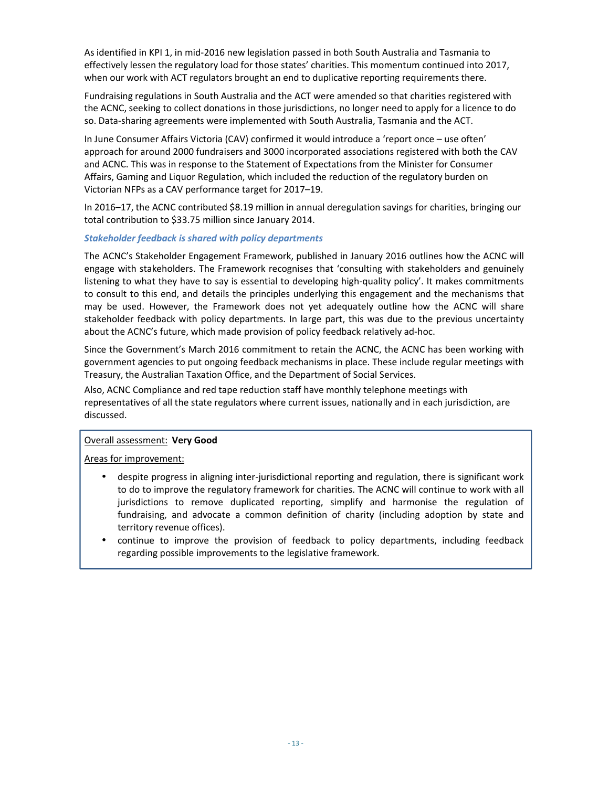As identified in KPI 1, in mid-2016 new legislation passed in both South Australia and Tasmania to effectively lessen the regulatory load for those states' charities. This momentum continued into 2017, when our work with ACT regulators brought an end to duplicative reporting requirements there.

Fundraising regulations in South Australia and the ACT were amended so that charities registered with the ACNC, seeking to collect donations in those jurisdictions, no longer need to apply for a licence to do so. Data-sharing agreements were implemented with South Australia, Tasmania and the ACT.

In June Consumer Affairs Victoria (CAV) confirmed it would introduce a 'report once – use often' approach for around 2000 fundraisers and 3000 incorporated associations registered with both the CAV and ACNC. This was in response to the Statement of Expectations from the Minister for Consumer Affairs, Gaming and Liquor Regulation, which included the reduction of the regulatory burden on Victorian NFPs as a CAV performance target for 2017–19.

In 2016–17, the ACNC contributed \$8.19 million in annual deregulation savings for charities, bringing our total contribution to \$33.75 million since January 2014.

#### *Stakeholder feedback is shared with policy departments*

The ACNC's Stakeholder Engagement Framework, published in January 2016 outlines how the ACNC will engage with stakeholders. The Framework recognises that 'consulting with stakeholders and genuinely listening to what they have to say is essential to developing high-quality policy'. It makes commitments to consult to this end, and details the principles underlying this engagement and the mechanisms that may be used. However, the Framework does not yet adequately outline how the ACNC will share stakeholder feedback with policy departments. In large part, this was due to the previous uncertainty about the ACNC's future, which made provision of policy feedback relatively ad-hoc.

Since the Government's March 2016 commitment to retain the ACNC, the ACNC has been working with government agencies to put ongoing feedback mechanisms in place. These include regular meetings with Treasury, the Australian Taxation Office, and the Department of Social Services.

Also, ACNC Compliance and red tape reduction staff have monthly telephone meetings with representatives of all the state regulators where current issues, nationally and in each jurisdiction, are discussed.

#### Overall assessment: **Very Good**

Areas for improvement:

- despite progress in aligning inter-jurisdictional reporting and regulation, there is significant work to do to improve the regulatory framework for charities. The ACNC will continue to work with all jurisdictions to remove duplicated reporting, simplify and harmonise the regulation of fundraising, and advocate a common definition of charity (including adoption by state and territory revenue offices).
- continue to improve the provision of feedback to policy departments, including feedback regarding possible improvements to the legislative framework.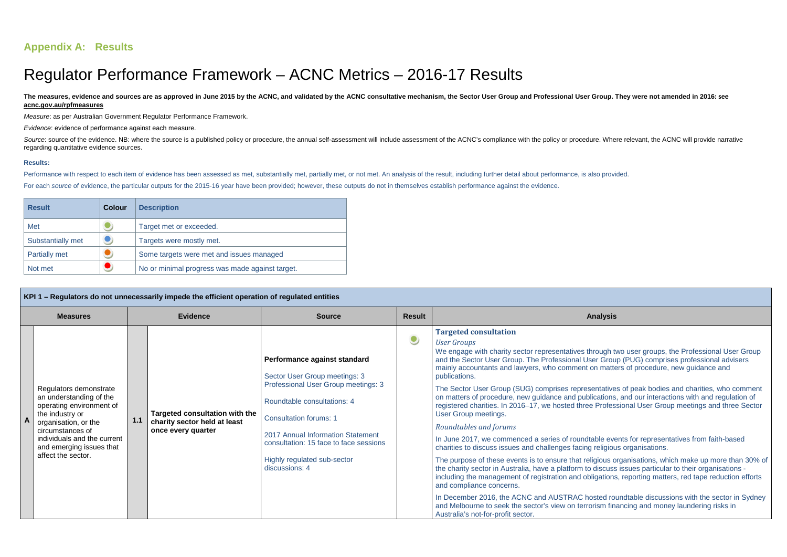# **Appendix A: Results**

# Regulator Performance Framework – ACNC Metrics – 2016-17 Results

The measures, evidence and sources are as approved in June 2015 by the ACNC, and validated by the ACNC consultative mechanism, the Sector User Group and Professional User Group. They were not amended in 2016: see **acnc.gov.au/rpfmeasures**

Measure: as per Australian Government Regulator Performance Framework.

Source: source of the evidence. NB: where the source is a published policy or procedure, the annual self-assessment will include assessment of the ACNC's compliance with the policy or procedure. Where relevant, the ACNC wi regarding quantitative evidence sources.

Evidence: evidence of performance against each measure.

#### **Results:**

Performance with respect to each item of evidence has been assessed as met, substantially met, partially met, or not met. An analysis of the result, including further detail about performance, is also provided. For each source of evidence, the particular outputs for the 2015-16 year have been provided; however, these outputs do not in themselves establish performance against the evidence.

| <b>Result</b>        | <b>Colour</b> | <b>Description</b>                              |  |  |  |
|----------------------|---------------|-------------------------------------------------|--|--|--|
| <b>Met</b>           |               | Target met or exceeded.                         |  |  |  |
| Substantially met    |               | Targets were mostly met.                        |  |  |  |
| <b>Partially met</b> |               | Some targets were met and issues managed        |  |  |  |
| Not met              |               | No or minimal progress was made against target. |  |  |  |

ntatives of peak bodies and charities, who comment cations, and our interactions with and regulation of registered charities. In 2016–17, we hosted three Professional User Group meetings and three Sector

> ble events for representatives from faith-based religious organisations.

aious organisations, which make up more than 30% of discuss issues particular to their organisations including the management of registration and obligations, reporting matters, red tape reduction efforts

> In Becamber 2016, the Sector in Sydney sted roundtable discussions with the sector in Sydney ism financing and money laundering risks in

|                | KPI 1 – Regulators do not unnecessarily impede the efficient operation of regulated entities                                                                                                                                  |                 |                                                                                      |                                                                                                                                                                                                                                                                                                      |               |                                                                                                                                                                                                                                                                                                                                                                                                                                                                                                                                                                                                                                                                                                                                                                                                                                                                                                                                                                                              |  |  |  |
|----------------|-------------------------------------------------------------------------------------------------------------------------------------------------------------------------------------------------------------------------------|-----------------|--------------------------------------------------------------------------------------|------------------------------------------------------------------------------------------------------------------------------------------------------------------------------------------------------------------------------------------------------------------------------------------------------|---------------|----------------------------------------------------------------------------------------------------------------------------------------------------------------------------------------------------------------------------------------------------------------------------------------------------------------------------------------------------------------------------------------------------------------------------------------------------------------------------------------------------------------------------------------------------------------------------------------------------------------------------------------------------------------------------------------------------------------------------------------------------------------------------------------------------------------------------------------------------------------------------------------------------------------------------------------------------------------------------------------------|--|--|--|
|                | <b>Measures</b>                                                                                                                                                                                                               | <b>Evidence</b> |                                                                                      | <b>Source</b>                                                                                                                                                                                                                                                                                        | <b>Result</b> | <b>Analysis</b>                                                                                                                                                                                                                                                                                                                                                                                                                                                                                                                                                                                                                                                                                                                                                                                                                                                                                                                                                                              |  |  |  |
| $\overline{A}$ | Regulators demonstrate<br>an understanding of the<br>operating environment of<br>the industry or<br>organisation, or the<br>circumstances of<br>individuals and the current<br>and emerging issues that<br>affect the sector. | 1.1             | Targeted consultation with the<br>charity sector held at least<br>once every quarter | Performance against standard<br>Sector User Group meetings: 3<br>Professional User Group meetings: 3<br>Roundtable consultations: 4<br><b>Consultation forums: 1</b><br>2017 Annual Information Statement<br>consultation: 15 face to face sessions<br>Highly regulated sub-sector<br>discussions: 4 |               | <b>Targeted consultation</b><br><b>User Groups</b><br>We engage with charity sector representatives through tv<br>and the Sector User Group. The Professional User Group<br>mainly accountants and lawyers, who comment on matte<br>publications.<br>The Sector User Group (SUG) comprises representatives<br>on matters of procedure, new guidance and publications,<br>registered charities. In 2016-17, we hosted three Profess<br>User Group meetings.<br>Roundtables and forums<br>In June 2017, we commenced a series of roundtable eve<br>charities to discuss issues and challenges facing religious<br>The purpose of these events is to ensure that religious or<br>the charity sector in Australia, have a platform to discuss<br>including the management of registration and obligations<br>and compliance concerns.<br>In December 2016, the ACNC and AUSTRAC hosted rough<br>and Melbourne to seek the sector's view on terrorism final<br>Australia's not-for-profit sector. |  |  |  |

ough two user groups, the Professional User Group and Group (PUG) comprises professional advisers n matters of procedure, new guidance and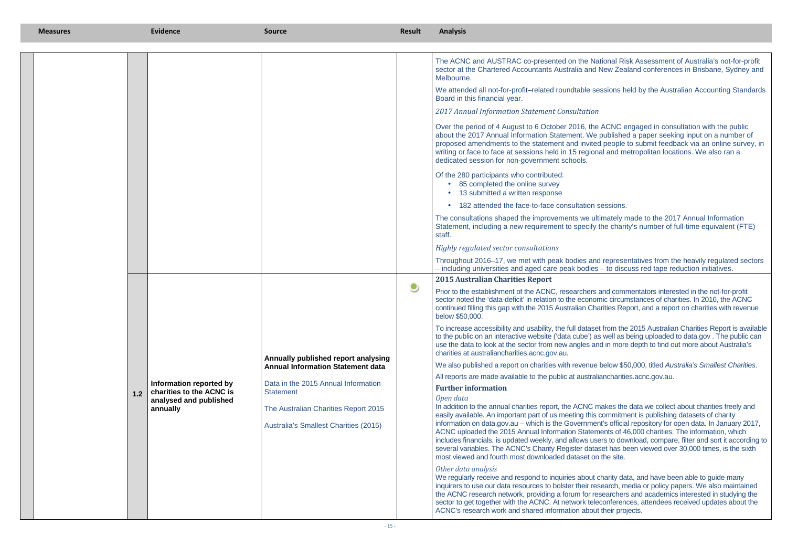Iational Risk Assessment of Australia's not-for-profit sector at the Chartered Accountants Australia and New Zealand conferences in Brisbane, Sydney and

sessions held by the Australian Accounting Standards

ne ACNC engaged in consultation with the public about the 2017 Annual Information Statement. We published a paper seeking input on a number of proposed amendments to the statement and invited people to submit feedback via an online survey, in or face to face to face to face in the to face in the in the in the in the set of an and metropolitan location

sessions.

Iltimately made to the 2017 Annual Information Statement, including a new requirement to specify the charity's number of full-time equivalent (FTE)

> nd representatives from the heavily regulated sectors es – to discuss red tape reduction initiatives.

s and commentators interested in the not-for-profit sector noted the 'data-deficit' in relation to the economic circumstances of charities. In 2016, the ACNC continued filling this gap with the 2015 Australian Charities Report, and a report on charities with revenue

> tet from the 2015 Australian Charities Report is available as well as being uploaded to data gov. The public can and in more depth to find out more about Australia's

e below \$50,000, titled Australia's Smallest Charities. aliancharities.acnc.gov.au.

makes the data we collect about charities freely and s commitment is publishing datasets of charity information on data.gov.au – which is the Government's official repository for open data. In January 2017, ments of 46,000 charities. The information, which includes financials, is updated weekly, and allows users to download, compare, filter and sort it according to taset has been viewed over 30,000 times, is the sixth on the site.

charity data, and have been able to guide many inquirers to use our data resources to bolster their research, media or policy papers. We also maintained the ACNC research network, providing a forum for researchers and academics interested in studying the sector to get together with the ACNC. At network teleconferences, attendees received updates about the ut their projects.

| <b>Measures</b> |     | <b>Evidence</b>                                                                           | <b>Source</b>                                                                                                                                                                                                                      | Result    | <b>Analysis</b>                                                                                                                                                                                                                                                                                                                                                                                                                                                                                                                                                                                                                                                                                                                                                                                                                                                                                                                                                                                                                                                                                                                                                                                                                                                                                                                                                                                                                       |
|-----------------|-----|-------------------------------------------------------------------------------------------|------------------------------------------------------------------------------------------------------------------------------------------------------------------------------------------------------------------------------------|-----------|---------------------------------------------------------------------------------------------------------------------------------------------------------------------------------------------------------------------------------------------------------------------------------------------------------------------------------------------------------------------------------------------------------------------------------------------------------------------------------------------------------------------------------------------------------------------------------------------------------------------------------------------------------------------------------------------------------------------------------------------------------------------------------------------------------------------------------------------------------------------------------------------------------------------------------------------------------------------------------------------------------------------------------------------------------------------------------------------------------------------------------------------------------------------------------------------------------------------------------------------------------------------------------------------------------------------------------------------------------------------------------------------------------------------------------------|
|                 |     |                                                                                           |                                                                                                                                                                                                                                    |           | The ACNC and AUSTRAC co-presented on the Nat<br>sector at the Chartered Accountants Australia and I<br>Melbourne.<br>We attended all not-for-profit-related roundtable se<br>Board in this financial year.<br>2017 Annual Information Statement Consultation<br>Over the period of 4 August to 6 October 2016, the<br>about the 2017 Annual Information Statement. We<br>proposed amendments to the statement and invited<br>writing or face to face at sessions held in 15 regional<br>dedicated session for non-government schools.<br>Of the 280 participants who contributed:<br>• 85 completed the online survey<br>13 submitted a written response<br>182 attended the face-to-face consultation s<br>The consultations shaped the improvements we ulti<br>Statement, including a new requirement to specify to<br>staff.<br>Highly regulated sector consultations<br>Throughout 2016-17, we met with peak bodies and                                                                                                                                                                                                                                                                                                                                                                                                                                                                                                           |
|                 | 1.2 | Information reported by<br>charities to the ACNC is<br>analysed and published<br>annually | Annually published report analysing<br><b>Annual Information Statement data</b><br>Data in the 2015 Annual Information<br><b>Statement</b><br>The Australian Charities Report 2015<br><b>Australia's Smallest Charities (2015)</b> | $\bullet$ | - including universities and aged care peak bodies<br><b>2015 Australian Charities Report</b><br>Prior to the establishment of the ACNC, researchers a<br>sector noted the 'data-deficit' in relation to the econom<br>continued filling this gap with the 2015 Australian Cha<br>below \$50,000.<br>To increase accessibility and usability, the full dataset<br>to the public on an interactive website ('data cube') as<br>use the data to look at the sector from new angles and<br>charities at australiancharities.acnc.gov.au.<br>We also published a report on charities with revenue I<br>All reports are made available to the public at australiant<br><b>Further information</b><br>Open data<br>In addition to the annual charities report, the ACNC m<br>easily available. An important part of us meeting this of<br>information on data.gov.au - which is the Governmen<br>ACNC uploaded the 2015 Annual Information Statem<br>includes financials, is updated weekly, and allows use<br>several variables. The ACNC's Charity Register datas<br>most viewed and fourth most downloaded dataset on<br>Other data analysis<br>We regularly receive and respond to inquiries about c<br>inquirers to use our data resources to bolster their res<br>the ACNC research network, providing a forum for res<br>sector to get together with the ACNC. At network teled<br>ACNC's research work and shared information about |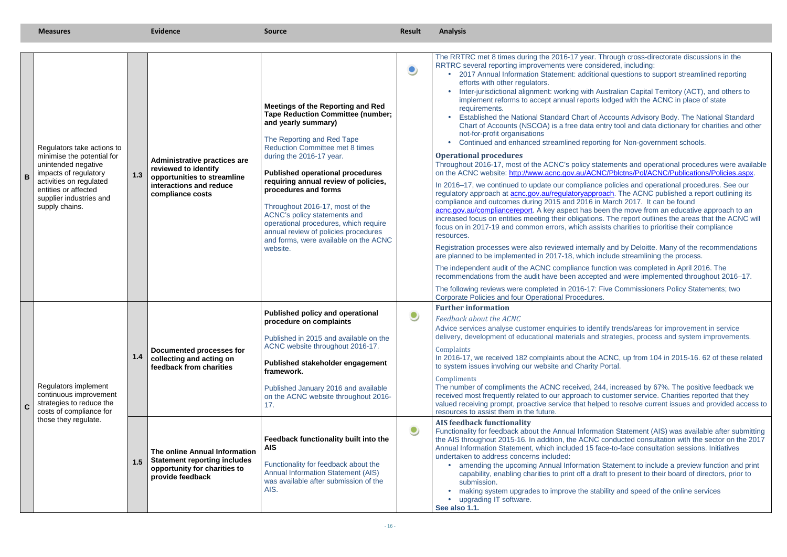statements and operational procedures were available CNC/Pblctns/Pol/ACNC/Publications/Policies.aspx.

In 2015-16, about the ACNC, up from 104 in 2015-16. 62 of these related ity Portal.

| Regulators take actions to<br>minimise the potential for<br>unintended negative<br>impacts of regulatory<br>activities on regulated<br>entities or affected<br>supplier industries and<br>supply chains. | 1.3 | <b>Administrative practices are</b><br>reviewed to identify<br>opportunities to streamline<br>interactions and reduce<br>compliance costs | <b>Meetings of the Reporting and Red</b><br><b>Tape Reduction Committee (number;</b><br>and yearly summary)<br>The Reporting and Red Tape<br><b>Reduction Committee met 8 times</b><br>during the 2016-17 year.<br><b>Published operational procedures</b><br>requiring annual review of policies,<br>procedures and forms<br>Throughout 2016-17, most of the<br>ACNC's policy statements and<br>operational procedures, which require<br>annual review of policies procedures<br>and forms, were available on the ACNC<br>website. | $\bullet$ | The RRTRC met 8 times during the 2016-17 year. Through cross-directorate discussions in the<br>RRTRC several reporting improvements were considered, including:<br>2017 Annual Information Statement: additional questions to support streamlined reporting<br>efforts with other regulators.<br>Inter-jurisdictional alignment: working with Australian Capital Territory (ACT), and others to<br>implement reforms to accept annual reports lodged with the ACNC in place of state<br>requirements.<br>Established the National Standard Chart of Accounts Advisory Body. The National Standard<br>Chart of Accounts (NSCOA) is a free data entry tool and data dictionary for charities and oth<br>not-for-profit organisations<br>Continued and enhanced streamlined reporting for Non-government schools.<br><b>Operational procedures</b><br>Throughout 2016-17, most of the ACNC's policy statements and operational procedures were availa<br>on the ACNC website: http://www.acnc.gov.au/ACNC/Pblctns/Pol/ACNC/Publications/Policies.aspx<br>In 2016–17, we continued to update our compliance policies and operational procedures. See our<br>regulatory approach at <b>acnc.gov.au/regulatoryapproach</b> . The ACNC published a report outlining its<br>compliance and outcomes during 2015 and 2016 in March 2017. It can be found<br>acnc.gov.au/compliancereport. A key aspect has been the move from an educative approach to an<br>increased focus on entities meeting their obligations. The report outlines the areas that the ACNC v<br>focus on in 2017-19 and common errors, which assists charities to prioritise their compliance<br>resources.<br>Registration processes were also reviewed internally and by Deloitte. Many of the recommendation<br>are planned to be implemented in 2017-18, which include streamlining the process.<br>The independent audit of the ACNC compliance function was completed in April 2016. The<br>recommendations from the audit have been accepted and were implemented throughout 2016–17.<br>The following reviews were completed in 2016-17: Five Commissioners Policy Statements; two<br>Corporate Policies and four Operational Procedures. |
|----------------------------------------------------------------------------------------------------------------------------------------------------------------------------------------------------------|-----|-------------------------------------------------------------------------------------------------------------------------------------------|-------------------------------------------------------------------------------------------------------------------------------------------------------------------------------------------------------------------------------------------------------------------------------------------------------------------------------------------------------------------------------------------------------------------------------------------------------------------------------------------------------------------------------------|-----------|---------------------------------------------------------------------------------------------------------------------------------------------------------------------------------------------------------------------------------------------------------------------------------------------------------------------------------------------------------------------------------------------------------------------------------------------------------------------------------------------------------------------------------------------------------------------------------------------------------------------------------------------------------------------------------------------------------------------------------------------------------------------------------------------------------------------------------------------------------------------------------------------------------------------------------------------------------------------------------------------------------------------------------------------------------------------------------------------------------------------------------------------------------------------------------------------------------------------------------------------------------------------------------------------------------------------------------------------------------------------------------------------------------------------------------------------------------------------------------------------------------------------------------------------------------------------------------------------------------------------------------------------------------------------------------------------------------------------------------------------------------------------------------------------------------------------------------------------------------------------------------------------------------------------------------------------------------------------------------------------------------------------------------------------------------------------------------------------------------------------------------------------------------------------------------------------------------------|
| Regulators implement<br>continuous improvement<br>strategies to reduce the<br>costs of compliance for                                                                                                    | 1.4 | Documented processes for<br>collecting and acting on<br>feedback from charities                                                           | <b>Published policy and operational</b><br>procedure on complaints<br>Published in 2015 and available on the<br>ACNC website throughout 2016-17.<br>Published stakeholder engagement<br>framework.<br>Published January 2016 and available<br>on the ACNC website throughout 2016-<br>17.                                                                                                                                                                                                                                           | $\bullet$ | <b>Further information</b><br>Feedback about the ACNC<br>Advice services analyse customer enquiries to identify trends/areas for improvement in service<br>delivery, development of educational materials and strategies, process and system improvements.<br>Complaints<br>In 2016-17, we received 182 complaints about the ACNC, up from 104 in 2015-16. 62 of these relat<br>to system issues involving our website and Charity Portal.<br>Compliments<br>The number of compliments the ACNC received, 244, increased by 67%. The positive feedback we<br>received most frequently related to our approach to customer service. Charities reported that they<br>valued receiving prompt, proactive service that helped to resolve current issues and provided acces<br>resources to assist them in the future.                                                                                                                                                                                                                                                                                                                                                                                                                                                                                                                                                                                                                                                                                                                                                                                                                                                                                                                                                                                                                                                                                                                                                                                                                                                                                                                                                                                             |
| those they regulate.                                                                                                                                                                                     | 1.5 | The online Annual Information<br><b>Statement reporting includes</b><br>opportunity for charities to<br>provide feedback                  | Feedback functionality built into the<br><b>AIS</b><br>Functionality for feedback about the<br><b>Annual Information Statement (AIS)</b><br>was available after submission of the<br>AIS.                                                                                                                                                                                                                                                                                                                                           | $\bullet$ | <b>AIS feedback functionality</b><br>Functionality for feedback about the Annual Information Statement (AIS) was available after submit<br>the AIS throughout 2015-16. In addition, the ACNC conducted consultation with the sector on the 20<br>Annual Information Statement, which included 15 face-to-face consultation sessions. Initiatives<br>undertaken to address concerns included:<br>amending the upcoming Annual Information Statement to include a preview function and pri<br>capability, enabling charities to print off a draft to present to their board of directors, prior to<br>submission.<br>making system upgrades to improve the stability and speed of the online services<br>upgrading IT software.<br>See also 1.1.                                                                                                                                                                                                                                                                                                                                                                                                                                                                                                                                                                                                                                                                                                                                                                                                                                                                                                                                                                                                                                                                                                                                                                                                                                                                                                                                                                                                                                                                |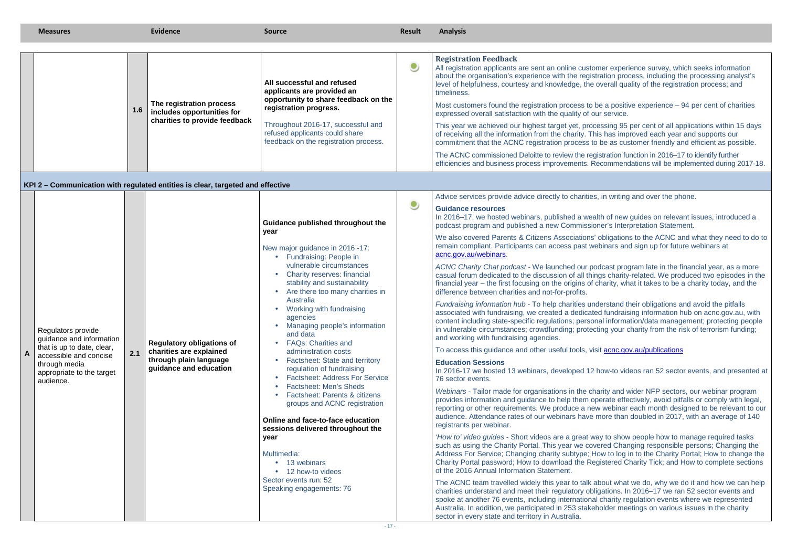obligations to the ACNC and what they need to do to binars and sign up for future webinars at

low-to videos ran 52 sector events, and presented at

|   | <b>Measures</b>                                                                                                                                                   |     | <b>Evidence</b>                                                                                                                                                                                   | <b>Source</b>                                                                                                                                                                                                                                                                                                                                                                                                                                                                                                                                                                                                                                                                                                                                                                                                                  | Result    | <b>Analysis</b>                                                                                                                                                                                                                                                                                                                                                                                                                                                                                                                                                                                                                                                                                                                                                                                                                                                                                                                                                                                                                                                                                                                                                                                                                                                                                                                                                                                                                                                                                                                                                                                                                                                                                                                                                                                                                                                                                                                                                                                                                                                                                                                                                                                                                                                                                                                                                                                                                                                                                                                                                                                                                                                                                                                                                                                                                                                                                                                                                                                                                                       |
|---|-------------------------------------------------------------------------------------------------------------------------------------------------------------------|-----|---------------------------------------------------------------------------------------------------------------------------------------------------------------------------------------------------|--------------------------------------------------------------------------------------------------------------------------------------------------------------------------------------------------------------------------------------------------------------------------------------------------------------------------------------------------------------------------------------------------------------------------------------------------------------------------------------------------------------------------------------------------------------------------------------------------------------------------------------------------------------------------------------------------------------------------------------------------------------------------------------------------------------------------------|-----------|-------------------------------------------------------------------------------------------------------------------------------------------------------------------------------------------------------------------------------------------------------------------------------------------------------------------------------------------------------------------------------------------------------------------------------------------------------------------------------------------------------------------------------------------------------------------------------------------------------------------------------------------------------------------------------------------------------------------------------------------------------------------------------------------------------------------------------------------------------------------------------------------------------------------------------------------------------------------------------------------------------------------------------------------------------------------------------------------------------------------------------------------------------------------------------------------------------------------------------------------------------------------------------------------------------------------------------------------------------------------------------------------------------------------------------------------------------------------------------------------------------------------------------------------------------------------------------------------------------------------------------------------------------------------------------------------------------------------------------------------------------------------------------------------------------------------------------------------------------------------------------------------------------------------------------------------------------------------------------------------------------------------------------------------------------------------------------------------------------------------------------------------------------------------------------------------------------------------------------------------------------------------------------------------------------------------------------------------------------------------------------------------------------------------------------------------------------------------------------------------------------------------------------------------------------------------------------------------------------------------------------------------------------------------------------------------------------------------------------------------------------------------------------------------------------------------------------------------------------------------------------------------------------------------------------------------------------------------------------------------------------------------------------------------------------|
|   |                                                                                                                                                                   | 1.6 | The registration process<br>includes opportunities for<br>charities to provide feedback                                                                                                           | All successful and refused<br>applicants are provided an<br>opportunity to share feedback on the<br>registration progress.<br>Throughout 2016-17, successful and<br>refused applicants could share<br>feedback on the registration process.                                                                                                                                                                                                                                                                                                                                                                                                                                                                                                                                                                                    | $\bullet$ | <b>Registration Feedback</b><br>All registration applicants are sent an online customer experience survey, which seeks information<br>about the organisation's experience with the registration process, including the processing analyst's<br>level of helpfulness, courtesy and knowledge, the overall quality of the registration process; and<br>timeliness.<br>Most customers found the registration process to be a positive experience $-94$ per cent of charities<br>expressed overall satisfaction with the quality of our service.<br>This year we achieved our highest target yet, processing 95 per cent of all applications within 15 day<br>of receiving all the information from the charity. This has improved each year and supports our<br>commitment that the ACNC registration process to be as customer friendly and efficient as possible.<br>The ACNC commissioned Deloitte to review the registration function in 2016-17 to identify further<br>efficiencies and business process improvements. Recommendations will be implemented during 2017-1                                                                                                                                                                                                                                                                                                                                                                                                                                                                                                                                                                                                                                                                                                                                                                                                                                                                                                                                                                                                                                                                                                                                                                                                                                                                                                                                                                                                                                                                                                                                                                                                                                                                                                                                                                                                                                                                                                                                                                            |
| A | Regulators provide<br>guidance and information<br>that is up to date, clear,<br>accessible and concise<br>through media<br>appropriate to the target<br>audience. | 2.1 | KPI 2 – Communication with regulated entities is clear, targeted and effective<br><b>Regulatory obligations of</b><br>charities are explained<br>through plain language<br>guidance and education | Guidance published throughout the<br>year<br>New major guidance in 2016 -17:<br>• Fundraising: People in<br>vulnerable circumstances<br><b>Charity reserves: financial</b><br>stability and sustainability<br>Are there too many charities in<br>Australia<br>Working with fundraising<br>agencies<br>Managing people's information<br>and data<br><b>FAQs: Charities and</b><br>administration costs<br><b>Factsheet: State and territory</b><br>regulation of fundraising<br><b>Factsheet: Address For Service</b><br><b>Factsheet: Men's Sheds</b><br><b>Factsheet: Parents &amp; citizens</b><br>groups and ACNC registration<br>Online and face-to-face education<br>sessions delivered throughout the<br>year<br>Multimedia:<br>• 13 webinars<br>• 12 how-to videos<br>Sector events run: 52<br>Speaking engagements: 76 | $\bullet$ | Advice services provide advice directly to charities, in writing and over the phone.<br><b>Guidance resources</b><br>In 2016–17, we hosted webinars, published a wealth of new guides on relevant issues, introduced a<br>podcast program and published a new Commissioner's Interpretation Statement.<br>We also covered Parents & Citizens Associations' obligations to the ACNC and what they need to do<br>remain compliant. Participants can access past webinars and sign up for future webinars at<br>acnc.gov.au/webinars.<br>ACNC Charity Chat podcast - We launched our podcast program late in the financial year, as a more<br>casual forum dedicated to the discussion of all things charity-related. We produced two episodes in t<br>financial year – the first focusing on the origins of charity, what it takes to be a charity today, and the<br>difference between charities and not-for-profits.<br>Fundraising information hub - To help charities understand their obligations and avoid the pitfalls<br>associated with fundraising, we created a dedicated fundraising information hub on acnc.gov.au, with<br>content including state-specific regulations; personal information/data management; protecting peopl<br>in vulnerable circumstances; crowdfunding; protecting your charity from the risk of terrorism funding;<br>and working with fundraising agencies.<br>To access this guidance and other useful tools, visit <b>acnc.gov.au/publications</b><br><b>Education Sessions</b><br>In 2016-17 we hosted 13 webinars, developed 12 how-to videos ran 52 sector events, and presented<br>76 sector events.<br>Webinars - Tailor made for organisations in the charity and wider NFP sectors, our webinar program<br>provides information and guidance to help them operate effectively, avoid pitfalls or comply with lega<br>reporting or other requirements. We produce a new webinar each month designed to be relevant to o<br>audience. Attendance rates of our webinars have more than doubled in 2017, with an average of 140<br>registrants per webinar.<br>'How to' video guides - Short videos are a great way to show people how to manage required tasks<br>such as using the Charity Portal. This year we covered Changing responsible persons; Changing the<br>Address For Service; Changing charity subtype; How to log in to the Charity Portal; How to change tl<br>Charity Portal password; How to download the Registered Charity Tick; and How to complete sectior<br>of the 2016 Annual Information Statement.<br>The ACNC team travelled widely this year to talk about what we do, why we do it and how we can he<br>charities understand and meet their regulatory obligations. In 2016-17 we ran 52 sector events and<br>spoke at another 76 events, including international charity regulation events where we represented<br>Australia. In addition, we participated in 253 stakeholder meetings on various issues in the charity<br>sector in every state and territory in Australia. |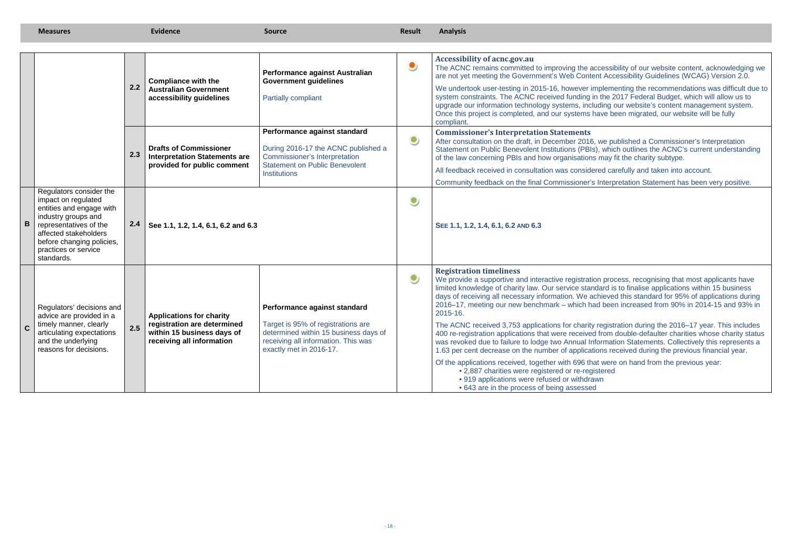accessibility of our website content, acknowledging we ent Accessibility Guidelines (WCAG) Version 2.0.

mplementing the recommendations was difficult due to in the 2017 Federal Budget, which will allow us to upgrade our information technology systems, including our website's content management system. have been migrated, our website will be fully

, we published a Commissioner's Interpretation Statement on Public Benevolent Institutions (PBIs), which outlines the ACNC's current understanding is may fit the charity subtype.

ared carefully and taken into account.

Interpretation Statement has been very positive.

ion process, recognising that most applicants have limited knowledge of charity law. Our service standard is to finalise applications within 15 business days of receiving all necessary information. We achieved this standard for 95% of applications during 2016–17, meeting our new benchmark – which had been increased from 90% in 2014-15 and 93% in

registration during the 2016–17 year. This includes 400 re-registration applications that were received from double-defaulter charities whose charity status nformation Statements. Collectively this represents a tions received during the previous financial year.

> at were on hand from the previous year: istered

|             |                                                                                                                                                                                                                         | 2.2 | <b>Compliance with the</b><br><b>Australian Government</b><br>accessibility guidelines                                    | Performance against Australian<br><b>Government guidelines</b><br><b>Partially compliant</b>                                                                                  | $\bullet$ | Accessibility of acnc.gov.au<br>The ACNC remains committed to improving the acce<br>are not yet meeting the Government's Web Content /<br>We undertook user-testing in 2015-16, however imple<br>system constraints. The ACNC received funding in th<br>upgrade our information technology systems, includir<br>Once this project is completed, and our systems have<br>compliant.                                                                                                                                                                                       |
|-------------|-------------------------------------------------------------------------------------------------------------------------------------------------------------------------------------------------------------------------|-----|---------------------------------------------------------------------------------------------------------------------------|-------------------------------------------------------------------------------------------------------------------------------------------------------------------------------|-----------|--------------------------------------------------------------------------------------------------------------------------------------------------------------------------------------------------------------------------------------------------------------------------------------------------------------------------------------------------------------------------------------------------------------------------------------------------------------------------------------------------------------------------------------------------------------------------|
|             |                                                                                                                                                                                                                         | 2.3 | <b>Drafts of Commissioner</b><br><b>Interpretation Statements are</b><br>provided for public comment                      | Performance against standard<br>During 2016-17 the ACNC published a<br><b>Commissioner's Interpretation</b><br><b>Statement on Public Benevolent</b><br><b>Institutions</b>   | $\bullet$ | <b>Commissioner's Interpretation Statements</b><br>After consultation on the draft, in December 2016, we<br>Statement on Public Benevolent Institutions (PBIs), v<br>of the law concerning PBIs and how organisations ma<br>All feedback received in consultation was considered<br>Community feedback on the final Commissioner's Int                                                                                                                                                                                                                                   |
| B           | Regulators consider the<br>impact on regulated<br>entities and engage with<br>industry groups and<br>representatives of the<br>affected stakeholders<br>before changing policies,<br>practices or service<br>standards. | 2.4 | See 1.1, 1.2, 1.4, 6.1, 6.2 and 6.3                                                                                       |                                                                                                                                                                               |           | SEE 1.1, 1.2, 1.4, 6.1, 6.2 AND 6.3                                                                                                                                                                                                                                                                                                                                                                                                                                                                                                                                      |
| $\mathbf C$ | Regulators' decisions and<br>advice are provided in a<br>timely manner, clearly<br>articulating expectations<br>and the underlying<br>reasons for decisions.                                                            | 2.5 | <b>Applications for charity</b><br>registration are determined<br>within 15 business days of<br>receiving all information | Performance against standard<br>Target is 95% of registrations are<br>determined within 15 business days of<br>receiving all information. This was<br>exactly met in 2016-17. | $\bullet$ | <b>Registration timeliness</b><br>We provide a supportive and interactive registration p<br>limited knowledge of charity law. Our service standar<br>days of receiving all necessary information. We achie<br>2016-17, meeting our new benchmark - which had b<br>2015-16.<br>The ACNC received 3,753 applications for charity reg<br>400 re-registration applications that were received fro<br>was revoked due to failure to lodge two Annual Inforr<br>1.63 per cent decrease on the number of applications<br>Of the applications received, together with 696 that w |
|             |                                                                                                                                                                                                                         |     |                                                                                                                           |                                                                                                                                                                               |           | • 2,887 charities were registered or re-registe<br>• 919 applications were refused or withdrawn<br>• 643 are in the process of being assessed                                                                                                                                                                                                                                                                                                                                                                                                                            |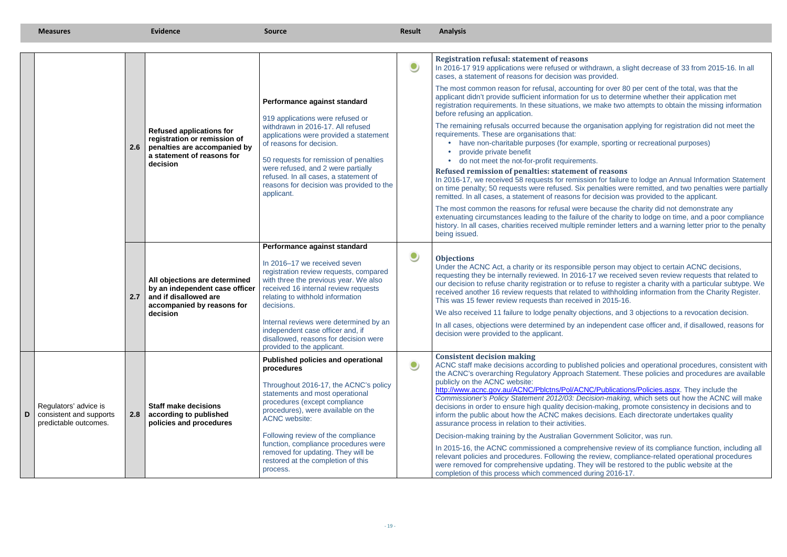- drawn, a slight decrease of 33 from 2015-16. In all rovided.
- for over 80 per cent of the total, was that the registration requirements. In these situations, we make two attempts to obtain the missing information
	- ganisation applying for registration did not meet the
	- le, sporting or recreational purposes)
	-
	- *<u>Reference</u>*
- In 2016-17, we received 58 requests for remission for failure to lodge an Annual Information Statement on time penalty; 50 requests were refused. Six penalties were remitted, and two penalties were partially decision was provided to the applicant.
- ecause the charity did not demonstrate any extenuating circumstances leading to the failure of the charity to lodge on time, and a poor compliance history. In all cases, charities received multiple reminder letters and a warning letter prior to the penalty
- person may object to certain ACNC decisions, requesting they be internally reviewed. In 2016-17 we received seven review requests that related to our decision to refuse charity registration or to refuse to register a charity with a particular subtype. We to withholding information from the Charity Register.  $\ln 2015 - 16$ .
	- ctions, and 3 objections to a revocation decision.
	- dependent case officer and, if disallowed, reasons for
	- ed policies and operational procedures, consistent with tatement. These policies and procedures are available
- $\frac{h}{\sqrt{P}}$ ublications/Policies.aspx. They include the Commissioner's Policy Statement 2012/03: Decision-making, which sets out how the ACNC will make -making, promote consistency in decisions and to cisions. Each directorate undertakes quality
	- nment Solicitor, was run.
	- ensive review of its compliance function, including all eview, compliance-related operational procedures. will be restored to the public website at the  $ring 2016-17.$

|   |                                                                           |     | <b>Refused applications for</b><br>registration or remission of<br>2.6 penalties are accompanied by<br>a statement of reasons for<br>decision | Performance against standard<br>919 applications were refused or<br>withdrawn in 2016-17. All refused<br>applications were provided a statement<br>of reasons for decision.<br>50 requests for remission of penalties<br>were refused, and 2 were partially<br>refused. In all cases, a statement of<br>reasons for decision was provided to the<br>applicant.                                           | $\bullet$ | <b>Registration refusal: statement of reasons</b><br>In 2016-17 919 applications were refused or withdrawn, a slight decrease of 33 from 2015-16.<br>cases, a statement of reasons for decision was provided.<br>The most common reason for refusal, accounting for over 80 per cent of the total, was that the<br>applicant didn't provide sufficient information for us to determine whether their application met<br>registration requirements. In these situations, we make two attempts to obtain the missing info<br>before refusing an application.<br>The remaining refusals occurred because the organisation applying for registration did not mee<br>requirements. These are organisations that:<br>have non-charitable purposes (for example, sporting or recreational purposes)<br>provide private benefit<br>• do not meet the not-for-profit requirements.<br>Refused remission of penalties: statement of reasons<br>In 2016-17, we received 58 requests for remission for failure to lodge an Annual Information St<br>on time penalty; 50 requests were refused. Six penalties were remitted, and two penalties were<br>remitted. In all cases, a statement of reasons for decision was provided to the applicant.<br>The most common the reasons for refusal were because the charity did not demonstrate any<br>extenuating circumstances leading to the failure of the charity to lodge on time, and a poor con<br>history. In all cases, charities received multiple reminder letters and a warning letter prior to the<br>being issued. |
|---|---------------------------------------------------------------------------|-----|-----------------------------------------------------------------------------------------------------------------------------------------------|----------------------------------------------------------------------------------------------------------------------------------------------------------------------------------------------------------------------------------------------------------------------------------------------------------------------------------------------------------------------------------------------------------|-----------|----------------------------------------------------------------------------------------------------------------------------------------------------------------------------------------------------------------------------------------------------------------------------------------------------------------------------------------------------------------------------------------------------------------------------------------------------------------------------------------------------------------------------------------------------------------------------------------------------------------------------------------------------------------------------------------------------------------------------------------------------------------------------------------------------------------------------------------------------------------------------------------------------------------------------------------------------------------------------------------------------------------------------------------------------------------------------------------------------------------------------------------------------------------------------------------------------------------------------------------------------------------------------------------------------------------------------------------------------------------------------------------------------------------------------------------------------------------------------------------------------------------------------------------------------------------|
|   |                                                                           | 2.7 | All objections are determined<br>by an independent case officer<br>and if disallowed are<br>accompanied by reasons for<br>decision            | Performance against standard<br>In 2016-17 we received seven<br>registration review requests, compared<br>with three the previous year. We also<br>received 16 internal review requests<br>relating to withhold information<br>decisions.<br>Internal reviews were determined by an<br>independent case officer and, if<br>disallowed, reasons for decision were<br>provided to the applicant.           | $\bullet$ | <b>Objections</b><br>Under the ACNC Act, a charity or its responsible person may object to certain ACNC decisions<br>requesting they be internally reviewed. In 2016-17 we received seven review requests that rela<br>our decision to refuse charity registration or to refuse to register a charity with a particular subt<br>received another 16 review requests that related to withholding information from the Charity Re<br>This was 15 fewer review requests than received in 2015-16.<br>We also received 11 failure to lodge penalty objections, and 3 objections to a revocation decisi<br>In all cases, objections were determined by an independent case officer and, if disallowed, rea<br>decision were provided to the applicant.                                                                                                                                                                                                                                                                                                                                                                                                                                                                                                                                                                                                                                                                                                                                                                                                              |
| D | Regulators' advice is<br>consistent and supports<br>predictable outcomes. | 2.8 | <b>Staff make decisions</b><br>according to published<br>policies and procedures                                                              | <b>Published policies and operational</b><br>procedures<br>Throughout 2016-17, the ACNC's policy<br>statements and most operational<br>procedures (except compliance<br>procedures), were available on the<br><b>ACNC</b> website:<br>Following review of the compliance<br>function, compliance procedures were<br>removed for updating. They will be<br>restored at the completion of this<br>process. | $\bullet$ | <b>Consistent decision making</b><br>ACNC staff make decisions according to published policies and operational procedures, consisting<br>the ACNC's overarching Regulatory Approach Statement. These policies and procedures are a<br>publicly on the ACNC website:<br>http://www.acnc.gov.au/ACNC/Pblctns/Pol/ACNC/Publications/Policies.aspx. They include the<br>Commissioner's Policy Statement 2012/03: Decision-making, which sets out how the ACNC w<br>decisions in order to ensure high quality decision-making, promote consistency in decisions are<br>inform the public about how the ACNC makes decisions. Each directorate undertakes quality<br>assurance process in relation to their activities.<br>Decision-making training by the Australian Government Solicitor, was run.<br>In 2015-16, the ACNC commissioned a comprehensive review of its compliance function, inclu<br>relevant policies and procedures. Following the review, compliance-related operational proced<br>were removed for comprehensive updating. They will be restored to the public website at the<br>completion of this process which commenced during 2016-17.                                                                                                                                                                                                                                                                                                                                                                                                     |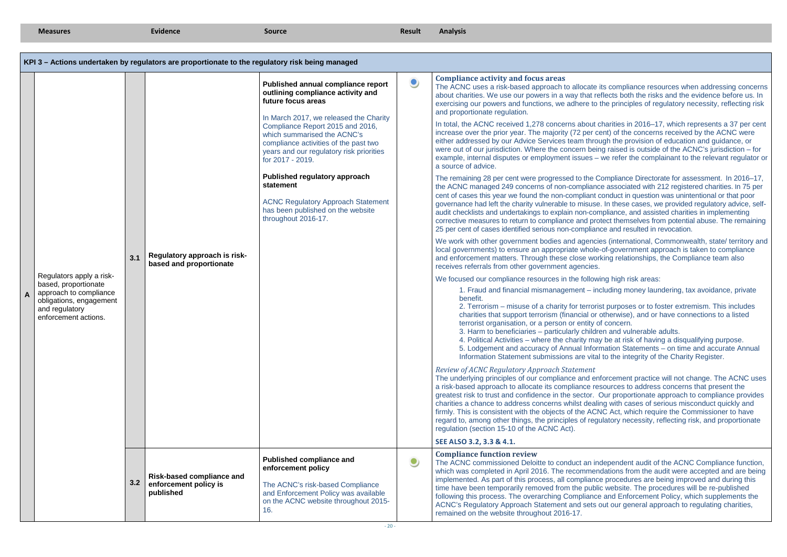| <b>Measures</b> |                                                                                                                                                 | Evidence | <b>Source</b>                                                                                   | Result                                                                                                                                                                                                                                                                                                                                                                                                                                                                     | <b>Analysis</b> |                                                                                                                                                                                                                                                                                                                                                                                                                                                                                                                                                                                                                                                                                                                                                                                                                                                                                                                                                                                                                                                                                                                                                                                                                                                                                                                                                                                                                                                                                                                                                                                                                                                                                                                                                                                                                                                                                                                                                                                                                                                                                                                                                                                                                                                                                                                                                                                                                                                                                                                                                                                                                                                                                                                                                                                                                                                                                                                                                                                                                                                                                                                                                                                                                                                                                                                                                                                                                                                                                                                                                                                                                                                |
|-----------------|-------------------------------------------------------------------------------------------------------------------------------------------------|----------|-------------------------------------------------------------------------------------------------|----------------------------------------------------------------------------------------------------------------------------------------------------------------------------------------------------------------------------------------------------------------------------------------------------------------------------------------------------------------------------------------------------------------------------------------------------------------------------|-----------------|------------------------------------------------------------------------------------------------------------------------------------------------------------------------------------------------------------------------------------------------------------------------------------------------------------------------------------------------------------------------------------------------------------------------------------------------------------------------------------------------------------------------------------------------------------------------------------------------------------------------------------------------------------------------------------------------------------------------------------------------------------------------------------------------------------------------------------------------------------------------------------------------------------------------------------------------------------------------------------------------------------------------------------------------------------------------------------------------------------------------------------------------------------------------------------------------------------------------------------------------------------------------------------------------------------------------------------------------------------------------------------------------------------------------------------------------------------------------------------------------------------------------------------------------------------------------------------------------------------------------------------------------------------------------------------------------------------------------------------------------------------------------------------------------------------------------------------------------------------------------------------------------------------------------------------------------------------------------------------------------------------------------------------------------------------------------------------------------------------------------------------------------------------------------------------------------------------------------------------------------------------------------------------------------------------------------------------------------------------------------------------------------------------------------------------------------------------------------------------------------------------------------------------------------------------------------------------------------------------------------------------------------------------------------------------------------------------------------------------------------------------------------------------------------------------------------------------------------------------------------------------------------------------------------------------------------------------------------------------------------------------------------------------------------------------------------------------------------------------------------------------------------------------------------------------------------------------------------------------------------------------------------------------------------------------------------------------------------------------------------------------------------------------------------------------------------------------------------------------------------------------------------------------------------------------------------------------------------------------------------------------------------|
|                 |                                                                                                                                                 |          |                                                                                                 |                                                                                                                                                                                                                                                                                                                                                                                                                                                                            |                 |                                                                                                                                                                                                                                                                                                                                                                                                                                                                                                                                                                                                                                                                                                                                                                                                                                                                                                                                                                                                                                                                                                                                                                                                                                                                                                                                                                                                                                                                                                                                                                                                                                                                                                                                                                                                                                                                                                                                                                                                                                                                                                                                                                                                                                                                                                                                                                                                                                                                                                                                                                                                                                                                                                                                                                                                                                                                                                                                                                                                                                                                                                                                                                                                                                                                                                                                                                                                                                                                                                                                                                                                                                                |
|                 |                                                                                                                                                 |          | KPI 3 - Actions undertaken by regulators are proportionate to the regulatory risk being managed |                                                                                                                                                                                                                                                                                                                                                                                                                                                                            |                 |                                                                                                                                                                                                                                                                                                                                                                                                                                                                                                                                                                                                                                                                                                                                                                                                                                                                                                                                                                                                                                                                                                                                                                                                                                                                                                                                                                                                                                                                                                                                                                                                                                                                                                                                                                                                                                                                                                                                                                                                                                                                                                                                                                                                                                                                                                                                                                                                                                                                                                                                                                                                                                                                                                                                                                                                                                                                                                                                                                                                                                                                                                                                                                                                                                                                                                                                                                                                                                                                                                                                                                                                                                                |
|                 | Regulators apply a risk-<br>based, proportionate<br>approach to compliance<br>obligations, engagement<br>and regulatory<br>enforcement actions. | 3.1      | Regulatory approach is risk-<br>based and proportionate                                         | Published annual compliance report<br>outlining compliance activity and<br>future focus areas<br>In March 2017, we released the Charity<br>Compliance Report 2015 and 2016,<br>which summarised the ACNC's<br>compliance activities of the past two<br>years and our regulatory risk priorities<br>for 2017 - 2019.<br>Published regulatory approach<br>statement<br><b>ACNC Regulatory Approach Statement</b><br>has been published on the website<br>throughout 2016-17. | $\bullet$       | <b>Compliance activity and focus areas</b><br>The ACNC uses a risk-based approach to allocate its compliance resources when addressing concerr<br>about charities. We use our powers in a way that reflects both the risks and the evidence before us. In<br>exercising our powers and functions, we adhere to the principles of regulatory necessity, reflecting risk<br>and proportionate regulation.<br>In total, the ACNC received 1,278 concerns about charities in 2016-17, which represents a 37 per cer<br>increase over the prior year. The majority (72 per cent) of the concerns received by the ACNC were<br>either addressed by our Advice Services team through the provision of education and guidance, or<br>were out of our jurisdiction. Where the concern being raised is outside of the ACNC's jurisdiction - for<br>example, internal disputes or employment issues - we refer the complainant to the relevant regulator<br>a source of advice.<br>The remaining 28 per cent were progressed to the Compliance Directorate for assessment. In 2016-17<br>the ACNC managed 249 concerns of non-compliance associated with 212 registered charities. In 75 per<br>cent of cases this year we found the non-compliant conduct in question was unintentional or that poor<br>governance had left the charity vulnerable to misuse. In these cases, we provided regulatory advice, sel<br>audit checklists and undertakings to explain non-compliance, and assisted charities in implementing<br>corrective measures to return to compliance and protect themselves from potential abuse. The remainin<br>25 per cent of cases identified serious non-compliance and resulted in revocation.<br>We work with other government bodies and agencies (international, Commonwealth, state/ territory are<br>local governments) to ensure an appropriate whole-of-government approach is taken to compliance<br>and enforcement matters. Through these close working relationships, the Compliance team also<br>receives referrals from other government agencies.<br>We focused our compliance resources in the following high risk areas:<br>1. Fraud and financial mismanagement – including money laundering, tax avoidance, private<br>benefit.<br>2. Terrorism – misuse of a charity for terrorist purposes or to foster extremism. This includes<br>charities that support terrorism (financial or otherwise), and or have connections to a listed<br>terrorist organisation, or a person or entity of concern.<br>3. Harm to beneficiaries - particularly children and vulnerable adults.<br>4. Political Activities – where the charity may be at risk of having a disqualifying purpose.<br>5. Lodgement and accuracy of Annual Information Statements - on time and accurate Annual<br>Information Statement submissions are vital to the integrity of the Charity Register.<br>Review of ACNC Regulatory Approach Statement<br>The underlying principles of our compliance and enforcement practice will not change. The ACNC use<br>a risk-based approach to allocate its compliance resources to address concerns that present the<br>greatest risk to trust and confidence in the sector. Our proportionate approach to compliance provides<br>charities a chance to address concerns whilst dealing with cases of serious misconduct quickly and<br>firmly. This is consistent with the objects of the ACNC Act, which require the Commissioner to have<br>regard to, among other things, the principles of regulatory necessity, reflecting risk, and proportionate<br>regulation (section 15-10 of the ACNC Act). |
|                 |                                                                                                                                                 |          |                                                                                                 |                                                                                                                                                                                                                                                                                                                                                                                                                                                                            |                 | SEE ALSO 3.2, 3.3 & 4.1.                                                                                                                                                                                                                                                                                                                                                                                                                                                                                                                                                                                                                                                                                                                                                                                                                                                                                                                                                                                                                                                                                                                                                                                                                                                                                                                                                                                                                                                                                                                                                                                                                                                                                                                                                                                                                                                                                                                                                                                                                                                                                                                                                                                                                                                                                                                                                                                                                                                                                                                                                                                                                                                                                                                                                                                                                                                                                                                                                                                                                                                                                                                                                                                                                                                                                                                                                                                                                                                                                                                                                                                                                       |
|                 |                                                                                                                                                 | 3.2      | <b>Risk-based compliance and</b><br>enforcement policy is<br>published                          | <b>Published compliance and</b><br>enforcement policy<br>The ACNC's risk-based Compliance<br>and Enforcement Policy was available<br>on the ACNC website throughout 2015-<br>16.                                                                                                                                                                                                                                                                                           | $\bullet$       | <b>Compliance function review</b><br>The ACNC commissioned Deloitte to conduct an independent audit of the ACNC Compliance function<br>which was completed in April 2016. The recommendations from the audit were accepted and are bein<br>implemented. As part of this process, all compliance procedures are being improved and during this<br>time have been temporarily removed from the public website. The procedures will be re-published<br>following this process. The overarching Compliance and Enforcement Policy, which supplements the<br>ACNC's Regulatory Approach Statement and sets out our general approach to regulating charities,<br>remained on the website throughout 2016-17.                                                                                                                                                                                                                                                                                                                                                                                                                                                                                                                                                                                                                                                                                                                                                                                                                                                                                                                                                                                                                                                                                                                                                                                                                                                                                                                                                                                                                                                                                                                                                                                                                                                                                                                                                                                                                                                                                                                                                                                                                                                                                                                                                                                                                                                                                                                                                                                                                                                                                                                                                                                                                                                                                                                                                                                                                                                                                                                                         |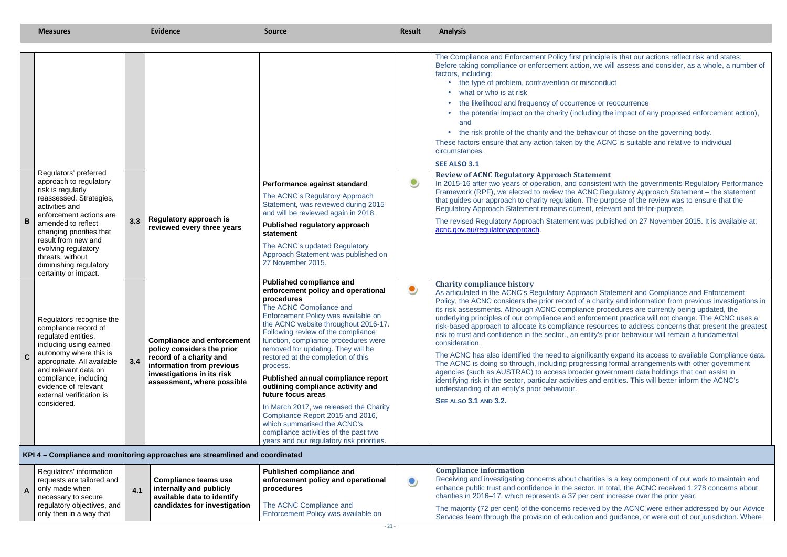ities is a key component of our work to maintain and enhance public trust and confidence in the sector. In total, the ACNC received 1,278 concerns about cent increase over the prior year.

| Regulators' information                               |     |                              | <b>Published compliance and</b>                                | Compliance information                                                                                 |
|-------------------------------------------------------|-----|------------------------------|----------------------------------------------------------------|--------------------------------------------------------------------------------------------------------|
| requests are tailored and                             |     | Compliance teams use         | enforcement policy and operational                             | Receiving and investigating concerns about chari                                                       |
| $\Delta$ only made when                               | 4.1 | internally and publicly      | procedures                                                     | enhance public trust and confidence in the sector                                                      |
| necessary to secure                                   |     | available data to identify   |                                                                | charities in 2016–17, which represents a 37 per c                                                      |
| regulatory objectives, and<br>only then in a way that |     | candidates for investigation | The ACNC Compliance and<br>Enforcement Policy was available on | The majority (72 per cent) of the concerns receive<br>Services team through the provision of education |

ed by the ACNC were either addressed by our Advice Services team through the provision of education and guidance, or were out of our jurisdiction. Where

|              | <b>Measures</b>                                                                                                                                                                                                                                                                                                    |     | <b>Evidence</b>                                                                                                                                                                     | <b>Source</b>                                                                                                                                                                                                                                                                                                                                                                                                                                                                                                                                                                                                                                                           | Result    | <b>Analysis</b>                                                                                                                                                                                                                                                                                                                                                                                                                                                                                                                                                                                                                                                                                                                                                                                                                                                                                                                                                                                                                                                                                                                                                                   |
|--------------|--------------------------------------------------------------------------------------------------------------------------------------------------------------------------------------------------------------------------------------------------------------------------------------------------------------------|-----|-------------------------------------------------------------------------------------------------------------------------------------------------------------------------------------|-------------------------------------------------------------------------------------------------------------------------------------------------------------------------------------------------------------------------------------------------------------------------------------------------------------------------------------------------------------------------------------------------------------------------------------------------------------------------------------------------------------------------------------------------------------------------------------------------------------------------------------------------------------------------|-----------|-----------------------------------------------------------------------------------------------------------------------------------------------------------------------------------------------------------------------------------------------------------------------------------------------------------------------------------------------------------------------------------------------------------------------------------------------------------------------------------------------------------------------------------------------------------------------------------------------------------------------------------------------------------------------------------------------------------------------------------------------------------------------------------------------------------------------------------------------------------------------------------------------------------------------------------------------------------------------------------------------------------------------------------------------------------------------------------------------------------------------------------------------------------------------------------|
|              |                                                                                                                                                                                                                                                                                                                    |     |                                                                                                                                                                                     |                                                                                                                                                                                                                                                                                                                                                                                                                                                                                                                                                                                                                                                                         |           | The Compliance and Enforcement Policy first principle is that our actions reflect risk and states:<br>Before taking compliance or enforcement action, we will assess and consider, as a whole, a number of<br>factors, including:<br>• the type of problem, contravention or misconduct<br>• what or who is at risk<br>• the likelihood and frequency of occurrence or reoccurrence<br>• the potential impact on the charity (including the impact of any proposed enforcement action),<br>and<br>• the risk profile of the charity and the behaviour of those on the governing body.<br>These factors ensure that any action taken by the ACNC is suitable and relative to individual<br>circumstances.<br><b>SEE ALSO 3.1</b>                                                                                                                                                                                                                                                                                                                                                                                                                                                   |
| B            | Regulators' preferred<br>approach to regulatory<br>risk is regularly<br>reassessed. Strategies,<br>activities and<br>enforcement actions are<br>amended to reflect<br>changing priorities that<br>result from new and<br>evolving regulatory<br>threats, without<br>diminishing regulatory<br>certainty or impact. | 3.3 | <b>Regulatory approach is</b><br>reviewed every three years                                                                                                                         | Performance against standard<br>The ACNC's Regulatory Approach<br>Statement, was reviewed during 2015<br>and will be reviewed again in 2018.<br>Published regulatory approach<br>statement<br>The ACNC's updated Regulatory<br>Approach Statement was published on<br>27 November 2015.                                                                                                                                                                                                                                                                                                                                                                                 | $\bullet$ | <b>Review of ACNC Regulatory Approach Statement</b><br>In 2015-16 after two years of operation, and consistent with the governments Regulatory Performance<br>Framework (RPF), we elected to review the ACNC Regulatory Approach Statement - the statement<br>that guides our approach to charity regulation. The purpose of the review was to ensure that the<br>Regulatory Approach Statement remains current, relevant and fit-for-purpose.<br>The revised Regulatory Approach Statement was published on 27 November 2015. It is available at:<br>acnc.gov.au/regulatoryapproach.                                                                                                                                                                                                                                                                                                                                                                                                                                                                                                                                                                                             |
| $\mathbf{C}$ | Regulators recognise the<br>compliance record of<br>regulated entities,<br>including using earned<br>autonomy where this is<br>appropriate. All available<br>and relevant data on<br>compliance, including<br>evidence of relevant<br>external verification is<br>considered.                                      | 3.4 | <b>Compliance and enforcement</b><br>policy considers the prior<br>record of a charity and<br>information from previous<br>investigations in its risk<br>assessment, where possible | <b>Published compliance and</b><br>enforcement policy and operational<br>procedures<br>The ACNC Compliance and<br>Enforcement Policy was available on<br>the ACNC website throughout 2016-17.<br>Following review of the compliance<br>function, compliance procedures were<br>removed for updating. They will be<br>restored at the completion of this<br>process.<br>Published annual compliance report<br>outlining compliance activity and<br>future focus areas<br>In March 2017, we released the Charity<br>Compliance Report 2015 and 2016,<br>which summarised the ACNC's<br>compliance activities of the past two<br>years and our regulatory risk priorities. | $\bullet$ | <b>Charity compliance history</b><br>As articulated in the ACNC's Regulatory Approach Statement and Compliance and Enforcement<br>Policy, the ACNC considers the prior record of a charity and information from previous investigations in<br>its risk assessments. Although ACNC compliance procedures are currently being updated, the<br>underlying principles of our compliance and enforcement practice will not change. The ACNC uses a<br>risk-based approach to allocate its compliance resources to address concerns that present the greatest<br>risk to trust and confidence in the sector., an entity's prior behaviour will remain a fundamental<br>consideration.<br>The ACNC has also identified the need to significantly expand its access to available Compliance data.<br>The ACNC is doing so through, including progressing formal arrangements with other government<br>agencies (such as AUSTRAC) to access broader government data holdings that can assist in<br>identifying risk in the sector, particular activities and entities. This will better inform the ACNC's<br>understanding of an entity's prior behaviour.<br><b>SEE ALSO 3.1 AND 3.2.</b> |
|              |                                                                                                                                                                                                                                                                                                                    |     | KPI 4 – Compliance and monitoring approaches are streamlined and coordinated                                                                                                        |                                                                                                                                                                                                                                                                                                                                                                                                                                                                                                                                                                                                                                                                         |           |                                                                                                                                                                                                                                                                                                                                                                                                                                                                                                                                                                                                                                                                                                                                                                                                                                                                                                                                                                                                                                                                                                                                                                                   |
|              | Dogulatore' information                                                                                                                                                                                                                                                                                            |     |                                                                                                                                                                                     | <b>Dublished compliance and</b>                                                                                                                                                                                                                                                                                                                                                                                                                                                                                                                                                                                                                                         |           | Compliance information                                                                                                                                                                                                                                                                                                                                                                                                                                                                                                                                                                                                                                                                                                                                                                                                                                                                                                                                                                                                                                                                                                                                                            |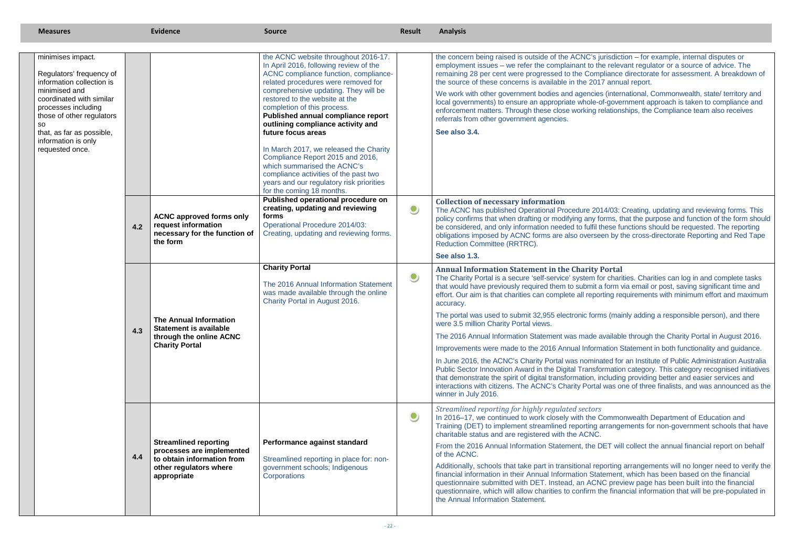#### **A** Portal

| <b>Measures</b>                                                                                                                                                                                                                                          |            | <b>Evidence</b>                                                                                                                                                                                                           | <b>Source</b>                                                                                                                                                                                                                                                                                                                                                                                                                                                                                                                                                                                                                                                                                                                                                                                                                                                                                                        | <b>Result</b>          | <b>Analysis</b>                                                                                                                                                                                                                                                                                                                                                                                                                                                                                                                                                                                                                                                                                                                                                                                                                                                                                                                                                                                                                                                                                                                                                                                                                                                                                                                                                                                                                                                                                                                                                                                                                                                                                                                                                                                                                                                                                                                                                                                                                                                                                                                                                                                                                                                                                                                                                                                                                                                                                                                                                           |
|----------------------------------------------------------------------------------------------------------------------------------------------------------------------------------------------------------------------------------------------------------|------------|---------------------------------------------------------------------------------------------------------------------------------------------------------------------------------------------------------------------------|----------------------------------------------------------------------------------------------------------------------------------------------------------------------------------------------------------------------------------------------------------------------------------------------------------------------------------------------------------------------------------------------------------------------------------------------------------------------------------------------------------------------------------------------------------------------------------------------------------------------------------------------------------------------------------------------------------------------------------------------------------------------------------------------------------------------------------------------------------------------------------------------------------------------|------------------------|---------------------------------------------------------------------------------------------------------------------------------------------------------------------------------------------------------------------------------------------------------------------------------------------------------------------------------------------------------------------------------------------------------------------------------------------------------------------------------------------------------------------------------------------------------------------------------------------------------------------------------------------------------------------------------------------------------------------------------------------------------------------------------------------------------------------------------------------------------------------------------------------------------------------------------------------------------------------------------------------------------------------------------------------------------------------------------------------------------------------------------------------------------------------------------------------------------------------------------------------------------------------------------------------------------------------------------------------------------------------------------------------------------------------------------------------------------------------------------------------------------------------------------------------------------------------------------------------------------------------------------------------------------------------------------------------------------------------------------------------------------------------------------------------------------------------------------------------------------------------------------------------------------------------------------------------------------------------------------------------------------------------------------------------------------------------------------------------------------------------------------------------------------------------------------------------------------------------------------------------------------------------------------------------------------------------------------------------------------------------------------------------------------------------------------------------------------------------------------------------------------------------------------------------------------------------------|
| minimises impact.<br>Regulators' frequency of<br>information collection is<br>minimised and<br>coordinated with similar<br>processes including<br>those of other regulators<br>so<br>that, as far as possible,<br>information is only<br>requested once. | 4.2<br>4.3 | <b>ACNC approved forms only</b><br>request information<br>necessary for the function of<br>the form<br><b>The Annual Information</b><br><b>Statement is available</b><br>through the online ACNC<br><b>Charity Portal</b> | the ACNC website throughout 2016-17.<br>In April 2016, following review of the<br>ACNC compliance function, compliance-<br>related procedures were removed for<br>comprehensive updating. They will be<br>restored to the website at the<br>completion of this process.<br>Published annual compliance report<br>outlining compliance activity and<br>future focus areas<br>In March 2017, we released the Charity<br>Compliance Report 2015 and 2016,<br>which summarised the ACNC's<br>compliance activities of the past two<br>years and our regulatory risk priorities<br>for the coming 18 months.<br>Published operational procedure on<br>creating, updating and reviewing<br>forms<br>Operational Procedure 2014/03:<br>Creating, updating and reviewing forms.<br><b>Charity Portal</b><br>The 2016 Annual Information Statement<br>was made available through the online<br>Charity Portal in August 2016. | $\bullet$<br>$\bullet$ | the concern being raised is outside of the ACNC's jurisdiction - for example, internal disputes or<br>employment issues – we refer the complainant to the relevant regulator or a source of advice. The<br>remaining 28 per cent were progressed to the Compliance directorate for assessment. A breakdown o<br>the source of these concerns is available in the 2017 annual report.<br>We work with other government bodies and agencies (international, Commonwealth, state/ territory and<br>local governments) to ensure an appropriate whole-of-government approach is taken to compliance and<br>enforcement matters. Through these close working relationships, the Compliance team also receives<br>referrals from other government agencies.<br>See also 3.4.<br><b>Collection of necessary information</b><br>The ACNC has published Operational Procedure 2014/03: Creating, updating and reviewing forms. This<br>policy confirms that when drafting or modifying any forms, that the purpose and function of the form shou<br>be considered, and only information needed to fulfil these functions should be requested. The reporting<br>obligations imposed by ACNC forms are also overseen by the cross-directorate Reporting and Red Tape<br>Reduction Committee (RRTRC).<br>See also 1.3.<br><b>Annual Information Statement in the Charity Portal</b><br>The Charity Portal is a secure 'self-service' system for charities. Charities can log in and complete tasks<br>that would have previously required them to submit a form via email or post, saving significant time and<br>effort. Our aim is that charities can complete all reporting requirements with minimum effort and maximul<br>accuracy.<br>The portal was used to submit 32,955 electronic forms (mainly adding a responsible person), and there<br>were 3.5 million Charity Portal views.<br>The 2016 Annual Information Statement was made available through the Charity Portal in August 2016.<br>Improvements were made to the 2016 Annual Information Statement in both functionality and guidance.<br>In June 2016, the ACNC's Charity Portal was nominated for an Institute of Public Administration Australia<br>Public Sector Innovation Award in the Digital Transformation category. This category recognised initiative<br>that demonstrate the spirit of digital transformation, including providing better and easier services and<br>interactions with citizens. The ACNC's Charity Portal was one of three finalists, and was announced as t<br>winner in July 2016. |
|                                                                                                                                                                                                                                                          | 4.4        | <b>Streamlined reporting</b><br>processes are implemented<br>to obtain information from<br>other regulators where<br>appropriate                                                                                          | Performance against standard<br>Streamlined reporting in place for: non-<br>government schools; Indigenous<br>Corporations                                                                                                                                                                                                                                                                                                                                                                                                                                                                                                                                                                                                                                                                                                                                                                                           | $\bullet$              | Streamlined reporting for highly regulated sectors<br>In 2016-17, we continued to work closely with the Commonwealth Department of Education and<br>Training (DET) to implement streamlined reporting arrangements for non-government schools that have<br>charitable status and are registered with the ACNC.<br>From the 2016 Annual Information Statement, the DET will collect the annual financial report on behalt<br>of the ACNC.<br>Additionally, schools that take part in transitional reporting arrangements will no longer need to verify t<br>financial information in their Annual Information Statement, which has been based on the financial<br>questionnaire submitted with DET. Instead, an ACNC preview page has been built into the financial<br>questionnaire, which will allow charities to confirm the financial information that will be pre-populated in<br>the Annual Information Statement.                                                                                                                                                                                                                                                                                                                                                                                                                                                                                                                                                                                                                                                                                                                                                                                                                                                                                                                                                                                                                                                                                                                                                                                                                                                                                                                                                                                                                                                                                                                                                                                                                                                   |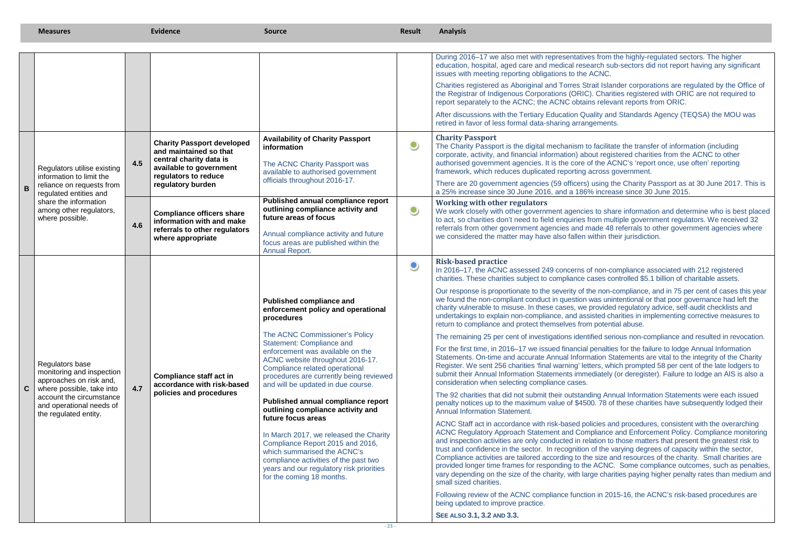from the highly-regulated sectors. The higher education, hospital, aged care and medical research sub-sectors did not report having any significant

> it Islander corporations are regulated by the Office of Charities registered with ORIC are not required to relevant reports from ORIC.

ity and Standards Agency (TEQSA) the MOU was ements.

ising the Charity Passport as at 30 June 2017. This is increase since 30 June 2015.

to share information and determine who is best placed om multiple government regulators. We received 32 referrals from other government agencies and made 48 referrals to other government agencies where thin their jurisdiction.

our responsional is proportional to the non-compliance, and in 75 per cent of cases this year as unintentional or that poor governance had left the ovided regulatory advice, self-audit checklists and undertakings to explain non-compliance, and assisted charities in implementing corrective measures to potential abuse.

ed serious non-compliance and resulted in revocation.

enalties for the failure to lodge Annual Information Statements. On-time and accurate Annual Information Statements are vital to the integrity of the Charity rs, which prompted 58 per cent of the late lodgers to submit their Annual Information Statements immediately (or deregister). Failure to lodge an AIS is also a

ng Annual Information Statements were each issued penalty notices up to the maximum value of \$4500. 78 of these charities have subsequently lodged their

cies and procedures, consistent with the overarching ACNC Regulatory Approach Statement and Compliance and Enforcement Policy. Compliance monitoring tion to those matters that present the greatest risk to the varying degrees of capacity within the sector, Compliance activities are tailored according to the size and resources of the charity. Small charities are provided longer time frames for responding to the ACNC. Some compliance outcomes, such as penalties, vary depending on the size of the charity, with large charities paying higher penalty rates than medium and

 $n$  in 2015-16, the ACNC's risk-based procedures are

|                | <b>Measures</b>                                                                                                                                                                       |     | <b>Evidence</b>                                                                                                                                                | <b>Source</b>                                                                                                                                                                                                                                                                                                                                                                                                                                                                                                                                                                                                                                                                           | <b>Result</b> | <b>Analysis</b>                                                                                                                                                                                                                                                                                                                                                                                                                                                                                                                                                                                                                                                                                                                                                                                                                                                                                                                                                                                                                                                                                                                                                                                                                                                                                                                                                                                                                                                                                                                                                                                                                                                                                                                                                                                                                                                                                                                                                                                                                                                                                                                                                                                                                                                                                                                                                                                                                                                                                          |
|----------------|---------------------------------------------------------------------------------------------------------------------------------------------------------------------------------------|-----|----------------------------------------------------------------------------------------------------------------------------------------------------------------|-----------------------------------------------------------------------------------------------------------------------------------------------------------------------------------------------------------------------------------------------------------------------------------------------------------------------------------------------------------------------------------------------------------------------------------------------------------------------------------------------------------------------------------------------------------------------------------------------------------------------------------------------------------------------------------------|---------------|----------------------------------------------------------------------------------------------------------------------------------------------------------------------------------------------------------------------------------------------------------------------------------------------------------------------------------------------------------------------------------------------------------------------------------------------------------------------------------------------------------------------------------------------------------------------------------------------------------------------------------------------------------------------------------------------------------------------------------------------------------------------------------------------------------------------------------------------------------------------------------------------------------------------------------------------------------------------------------------------------------------------------------------------------------------------------------------------------------------------------------------------------------------------------------------------------------------------------------------------------------------------------------------------------------------------------------------------------------------------------------------------------------------------------------------------------------------------------------------------------------------------------------------------------------------------------------------------------------------------------------------------------------------------------------------------------------------------------------------------------------------------------------------------------------------------------------------------------------------------------------------------------------------------------------------------------------------------------------------------------------------------------------------------------------------------------------------------------------------------------------------------------------------------------------------------------------------------------------------------------------------------------------------------------------------------------------------------------------------------------------------------------------------------------------------------------------------------------------------------------------|
|                |                                                                                                                                                                                       |     |                                                                                                                                                                |                                                                                                                                                                                                                                                                                                                                                                                                                                                                                                                                                                                                                                                                                         |               | During 2016-17 we also met with representatives from the highly-regulated sectors. The higher<br>education, hospital, aged care and medical research sub-sectors did not report having any sign<br>issues with meeting reporting obligations to the ACNC.<br>Charities registered as Aboriginal and Torres Strait Islander corporations are regulated by the C<br>the Registrar of Indigenous Corporations (ORIC). Charities registered with ORIC are not require<br>report separately to the ACNC; the ACNC obtains relevant reports from ORIC.<br>After discussions with the Tertiary Education Quality and Standards Agency (TEQSA) the MOU<br>retired in favor of less formal data-sharing arrangements.<br><b>Charity Passport</b>                                                                                                                                                                                                                                                                                                                                                                                                                                                                                                                                                                                                                                                                                                                                                                                                                                                                                                                                                                                                                                                                                                                                                                                                                                                                                                                                                                                                                                                                                                                                                                                                                                                                                                                                                                  |
| $\overline{B}$ | Regulators utilise existing<br>information to limit the<br>reliance on requests from<br>regulated entities and<br>share the information<br>among other regulators,<br>where possible. | 4.5 | <b>Charity Passport developed</b><br>and maintained so that<br>central charity data is<br>available to government<br>regulators to reduce<br>regulatory burden | <b>Availability of Charity Passport</b><br>information<br>The ACNC Charity Passport was<br>available to authorised government<br>officials throughout 2016-17.                                                                                                                                                                                                                                                                                                                                                                                                                                                                                                                          | $\bullet$     | The Charity Passport is the digital mechanism to facilitate the transfer of information (including<br>corporate, activity, and financial information) about registered charities from the ACNC to other<br>authorised government agencies. It is the core of the ACNC's 'report once, use often' reporting<br>framework, which reduces duplicated reporting across government.<br>There are 20 government agencies (59 officers) using the Charity Passport as at 30 June 2017<br>a 25% increase since 30 June 2016, and a 186% increase since 30 June 2015.                                                                                                                                                                                                                                                                                                                                                                                                                                                                                                                                                                                                                                                                                                                                                                                                                                                                                                                                                                                                                                                                                                                                                                                                                                                                                                                                                                                                                                                                                                                                                                                                                                                                                                                                                                                                                                                                                                                                             |
|                |                                                                                                                                                                                       | 4.6 | <b>Compliance officers share</b><br>information with and make<br>referrals to other regulators<br>where appropriate                                            | <b>Published annual compliance report</b><br>outlining compliance activity and<br>future areas of focus<br>Annual compliance activity and future<br>focus areas are published within the<br><b>Annual Report.</b>                                                                                                                                                                                                                                                                                                                                                                                                                                                                       | $\bullet$     | <b>Working with other regulators</b><br>We work closely with other government agencies to share information and determine who is be<br>to act, so charities don't need to field enquiries from multiple government regulators. We receive<br>referrals from other government agencies and made 48 referrals to other government agencies<br>we considered the matter may have also fallen within their jurisdiction.                                                                                                                                                                                                                                                                                                                                                                                                                                                                                                                                                                                                                                                                                                                                                                                                                                                                                                                                                                                                                                                                                                                                                                                                                                                                                                                                                                                                                                                                                                                                                                                                                                                                                                                                                                                                                                                                                                                                                                                                                                                                                     |
| $\mathbf{C}$   | Regulators base<br>monitoring and inspection<br>approaches on risk and,<br>where possible, take into<br>account the circumstance<br>and operational needs of<br>the regulated entity. | 4.7 | <b>Compliance staff act in</b><br>accordance with risk-based<br>policies and procedures                                                                        | <b>Published compliance and</b><br>enforcement policy and operational<br>procedures<br>The ACNC Commissioner's Policy<br>Statement: Compliance and<br>enforcement was available on the<br>ACNC website throughout 2016-17.<br>Compliance related operational<br>procedures are currently being reviewed<br>and will be updated in due course.<br>Published annual compliance report<br>outlining compliance activity and<br>future focus areas<br>In March 2017, we released the Charity<br>Compliance Report 2015 and 2016,<br>which summarised the ACNC's<br>compliance activities of the past two<br>years and our regulatory risk priorities<br>for the coming 18 months.<br>$-23-$ | $\bullet$     | <b>Risk-based practice</b><br>In 2016-17, the ACNC assessed 249 concerns of non-compliance associated with 212 registered<br>charities. These charities subject to compliance cases controlled \$5.1 billion of charitable assets.<br>Our response is proportionate to the severity of the non-compliance, and in 75 per cent of cases to<br>we found the non-compliant conduct in question was unintentional or that poor governance had le<br>charity vulnerable to misuse. In these cases, we provided regulatory advice, self-audit checklists a<br>undertakings to explain non-compliance, and assisted charities in implementing corrective measured<br>return to compliance and protect themselves from potential abuse.<br>The remaining 25 per cent of investigations identified serious non-compliance and resulted in reve<br>For the first time, in 2016-17 we issued financial penalties for the failure to lodge Annual Informat<br>Statements. On-time and accurate Annual Information Statements are vital to the integrity of the (<br>Register. We sent 256 charities 'final warning' letters, which prompted 58 per cent of the late lodg<br>submit their Annual Information Statements immediately (or deregister). Failure to lodge an AIS is<br>consideration when selecting compliance cases.<br>The 92 charities that did not submit their outstanding Annual Information Statements were each is<br>penalty notices up to the maximum value of \$4500. 78 of these charities have subsequently lodge<br><b>Annual Information Statement.</b><br>ACNC Staff act in accordance with risk-based policies and procedures, consistent with the overar<br>ACNC Regulatory Approach Statement and Compliance and Enforcement Policy. Compliance mo<br>and inspection activities are only conducted in relation to those matters that present the greatest i<br>trust and confidence in the sector. In recognition of the varying degrees of capacity within the sec<br>Compliance activities are tailored according to the size and resources of the charity. Small chariti<br>provided longer time frames for responding to the ACNC. Some compliance outcomes, such as provided<br>vary depending on the size of the charity, with large charities paying higher penalty rates than me<br>small sized charities.<br>Following review of the ACNC compliance function in 2015-16, the ACNC's risk-based procedure<br>being updated to improve practice.<br>SEE ALSO 3.1, 3.2 AND 3.3. |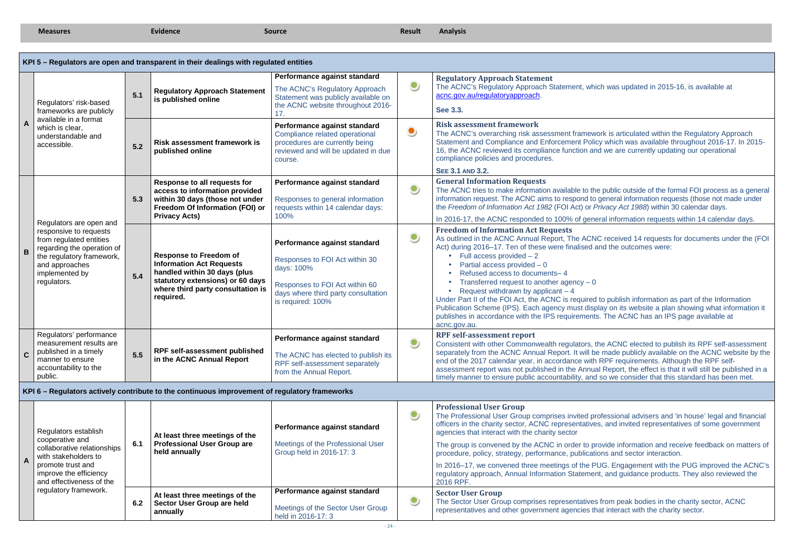**Measures Evidence Source Source Result Analysis Analysis Analysis Analysis Analysis Analysis Analysis Analysis** 

ich was updated in 2015-16, is available at

vork is articulated within the Regulatory Approach Statement and Compliance and Enforcement Policy which was available throughout 2016-17. In 2015-16, the Accord act compliance act we are currently updating our operational

> ne public outside of the formal FOI process as a general general information requests (those not made under Privacy Act 1988) within 30 calendar days.

eral information requests within 14 calendar days.

IC received 14 requests for documents under the (FOI and the outcomes were:

to publish information as part of the Information Publication Scheme (IPS). Each agency must display on its website a plan showing what information it ts. The ACNC has an IPS page available at

the ACNC elected to publish its RPF self-assessment separately from the ACNC Annual Report. It will be made publicly available on the ACNC website by the RPF requirements. Although the RPF selfal Report, the effect is that it will still be published in a so we consider that this standard has been met.

> rofessional advisers and 'in house' legal and financial es, and invited representatives of some government

rovide information and receive feedback on matters of ions and sector interaction.

**IUG. Engagement with the PUG improved the ACNC's** nt, and guidance products. They also reviewed the

from peak bodies in the charity sector, ACNC representative charity sector.

|              |                                                                                                                                                                                                                                                                                                                              |     | KPI 5 - Regulators are open and transparent in their dealings with regulated entities                                                                                                                                                                                                                                                                                |                                                                                                                                                    |           |                                                                                                                                                                                                                                                                                                                                                                                                                                                                                                                     |
|--------------|------------------------------------------------------------------------------------------------------------------------------------------------------------------------------------------------------------------------------------------------------------------------------------------------------------------------------|-----|----------------------------------------------------------------------------------------------------------------------------------------------------------------------------------------------------------------------------------------------------------------------------------------------------------------------------------------------------------------------|----------------------------------------------------------------------------------------------------------------------------------------------------|-----------|---------------------------------------------------------------------------------------------------------------------------------------------------------------------------------------------------------------------------------------------------------------------------------------------------------------------------------------------------------------------------------------------------------------------------------------------------------------------------------------------------------------------|
|              | Regulators' risk-based<br>frameworks are publicly                                                                                                                                                                                                                                                                            | 5.1 | <b>Regulatory Approach Statement</b><br>is published online                                                                                                                                                                                                                                                                                                          | Performance against standard<br>The ACNC's Regulatory Approach<br>Statement was publicly available on<br>the ACNC website throughout 2016-<br>17.  |           | <b>Regulatory Approach Statement</b><br>The ACNC's Regulatory Approach Statement, whi<br>acnc.gov.au/regulatoryapproach.<br>See 3.3.                                                                                                                                                                                                                                                                                                                                                                                |
| $\mathbf{A}$ | available in a format<br>which is clear,<br>understandable and<br>accessible.                                                                                                                                                                                                                                                | 5.2 | <b>Risk assessment framework is</b><br>published online                                                                                                                                                                                                                                                                                                              | Performance against standard<br>Compliance related operational<br>procedures are currently being<br>reviewed and will be updated in due<br>course. | $\bullet$ | <b>Risk assessment framework</b><br>The ACNC's overarching risk assessment framewe<br><b>Statement and Compliance and Enforcement Polic</b><br>16, the ACNC reviewed its compliance function an<br>compliance policies and procedures.                                                                                                                                                                                                                                                                              |
|              | <b>SEE 3.1 AND 3.2.</b><br>Response to all requests for<br>Performance against standard<br>$\bullet$<br>access to information provided<br>5.3<br>within 30 days (those not under<br>Responses to general information<br>Freedom Of Information (FOI) or<br>requests within 14 calendar days:<br><b>Privacy Acts)</b><br>100% |     | <b>General Information Requests</b><br>The ACNC tries to make information available to the<br>information request. The ACNC aims to respond to<br>the Freedom of Information Act 1982 (FOI Act) or P<br>In 2016-17, the ACNC responded to 100% of gene                                                                                                               |                                                                                                                                                    |           |                                                                                                                                                                                                                                                                                                                                                                                                                                                                                                                     |
| $\mathbf B$  | Regulators are open and<br>responsive to requests<br>from regulated entities<br>regarding the operation of<br>the regulatory framework,<br>and approaches<br>implemented by<br>regulators.                                                                                                                                   | 5.4 | Performance against standard<br><b>Response to Freedom of</b><br>Responses to FOI Act within 30<br><b>Information Act Requests</b><br>days: 100%<br>handled within 30 days (plus<br>statutory extensions) or 60 days<br>Responses to FOI Act within 60<br>where third party consultation is<br>days where third party consultation<br>required.<br>is required: 100% |                                                                                                                                                    | $\bullet$ | <b>Freedom of Information Act Requests</b><br>As outlined in the ACNC Annual Report, The ACN<br>Act) during 2016-17. Ten of these were finalised a<br>Full access provided $-2$<br>Partial access provided $-0$<br>Refused access to documents-4<br>Transferred request to another agency $-0$<br>Request withdrawn by applicant $-4$<br>Under Part II of the FOI Act, the ACNC is required<br>Publication Scheme (IPS). Each agency must disp<br>publishes in accordance with the IPS requirements<br>acnc.gov.au. |
| $\mathbf{C}$ | Regulators' performance<br>measurement results are<br>published in a timely<br>manner to ensure<br>accountability to the<br>public.                                                                                                                                                                                          | 5.5 | RPF self-assessment published<br>in the ACNC Annual Report                                                                                                                                                                                                                                                                                                           | Performance against standard<br>The ACNC has elected to publish its<br>RPF self-assessment separately<br>from the Annual Report.                   |           | <b>RPF self-assessment report</b><br>Consistent with other Commonwealth regulators, the<br>separately from the ACNC Annual Report. It will be<br>end of the 2017 calendar year, in accordance with<br>assessment report was not published in the Annua<br>timely manner to ensure public accountability, and                                                                                                                                                                                                        |
|              |                                                                                                                                                                                                                                                                                                                              |     | KPI 6 – Regulators actively contribute to the continuous improvement of regulatory frameworks                                                                                                                                                                                                                                                                        |                                                                                                                                                    |           |                                                                                                                                                                                                                                                                                                                                                                                                                                                                                                                     |
| A            | Regulators establish<br>cooperative and<br>collaborative relationships<br>with stakeholders to<br>promote trust and<br>improve the efficiency<br>and effectiveness of the                                                                                                                                                    | 6.1 | At least three meetings of the<br><b>Professional User Group are</b><br>held annually                                                                                                                                                                                                                                                                                | Performance against standard<br>Meetings of the Professional User<br>Group held in 2016-17: 3                                                      | $\bullet$ | <b>Professional User Group</b><br>The Professional User Group comprises invited pro<br>officers in the charity sector, ACNC representative<br>agencies that interact with the charity sector<br>The group is convened by the ACNC in order to pr<br>procedure, policy, strategy, performance, publication<br>In 2016-17, we convened three meetings of the PI<br>regulatory approach, Annual Information Statemen<br>2016 RPF.                                                                                      |
|              | regulatory framework.                                                                                                                                                                                                                                                                                                        | 6.2 | At least three meetings of the<br>Sector User Group are held<br>annually                                                                                                                                                                                                                                                                                             | Performance against standard<br>Meetings of the Sector User Group<br>held in 2016-17: 3                                                            | $\bullet$ | <b>Sector User Group</b><br>The Sector User Group comprises representatives<br>representatives and other government agencies th                                                                                                                                                                                                                                                                                                                                                                                     |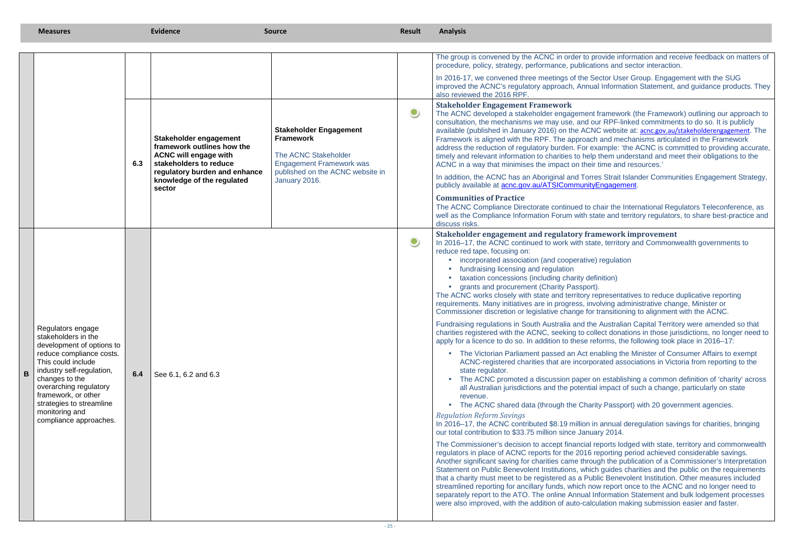provide information and receive feedback on matters of procedure, procedure, procedure, procedure, procedure, procedure, publications and sector interaction.

**Sector User Group. Engagement with the SUG** improved the ACNC's regulatory approach, Annual Information Statement, and guidance products. They

It framework (the Framework) outlining our approach to our RPF-linked commitments to do so. It is publicly available (published in January 2016) on the ACNC website at: **acnc.gov.au/stakeholderengagement**. The ch and mechanisms articulated in the Framework address the reduction of regulatory burden. For example: 'the ACNC is committed to providing accurate, In them understand and meet their obligations to the  $\overline{\text{in}}$  time and resources.'

> res Strait Islander Communities Engagement Strategy, vEngagement.

chair the International Regulators Teleconference, as well as the Compliance Information Forum with state and territory regulators, to share best-practice and

> on establishing a common definition of 'charity' across al impact of such a change, particularly on state

in annual deregulation savings for charities, bringing vary  $2014$ .

reports lodged with state, territory and commonwealth reporting period achieved considerable savings.

|   | <b>Measures</b>                                                                                                                                                                                                                                                                                 |     | Evidence                                                                                                                                                                                | <b>Source</b>                                                                                                                                                     | Result    | <b>Analysis</b>                                                                                                                                                                                                                                                                                                                                                                                                                                                                                                                                                                                                                                                                                                                                                                                                                                                                                                                                                                                                                                                                                                                                                                                                                                                                                                                                                                                                                                                                                                                                                                                                                                                                                                                                                 |
|---|-------------------------------------------------------------------------------------------------------------------------------------------------------------------------------------------------------------------------------------------------------------------------------------------------|-----|-----------------------------------------------------------------------------------------------------------------------------------------------------------------------------------------|-------------------------------------------------------------------------------------------------------------------------------------------------------------------|-----------|-----------------------------------------------------------------------------------------------------------------------------------------------------------------------------------------------------------------------------------------------------------------------------------------------------------------------------------------------------------------------------------------------------------------------------------------------------------------------------------------------------------------------------------------------------------------------------------------------------------------------------------------------------------------------------------------------------------------------------------------------------------------------------------------------------------------------------------------------------------------------------------------------------------------------------------------------------------------------------------------------------------------------------------------------------------------------------------------------------------------------------------------------------------------------------------------------------------------------------------------------------------------------------------------------------------------------------------------------------------------------------------------------------------------------------------------------------------------------------------------------------------------------------------------------------------------------------------------------------------------------------------------------------------------------------------------------------------------------------------------------------------------|
|   |                                                                                                                                                                                                                                                                                                 |     |                                                                                                                                                                                         |                                                                                                                                                                   |           | The group is convened by the ACNC in order to provide information and receive feedback on matt<br>procedure, policy, strategy, performance, publications and sector interaction.                                                                                                                                                                                                                                                                                                                                                                                                                                                                                                                                                                                                                                                                                                                                                                                                                                                                                                                                                                                                                                                                                                                                                                                                                                                                                                                                                                                                                                                                                                                                                                                |
|   |                                                                                                                                                                                                                                                                                                 |     |                                                                                                                                                                                         |                                                                                                                                                                   |           | In 2016-17, we convened three meetings of the Sector User Group. Engagement with the SUG<br>improved the ACNC's regulatory approach, Annual Information Statement, and guidance products<br>also reviewed the 2016 RPF.                                                                                                                                                                                                                                                                                                                                                                                                                                                                                                                                                                                                                                                                                                                                                                                                                                                                                                                                                                                                                                                                                                                                                                                                                                                                                                                                                                                                                                                                                                                                         |
|   |                                                                                                                                                                                                                                                                                                 | 6.3 | Stakeholder engagement<br>framework outlines how the<br><b>ACNC will engage with</b><br>stakeholders to reduce<br>regulatory burden and enhance<br>knowledge of the regulated<br>sector | <b>Stakeholder Engagement</b><br><b>Framework</b><br>The ACNC Stakeholder<br><b>Engagement Framework was</b><br>published on the ACNC website in<br>January 2016. | $\bullet$ | <b>Stakeholder Engagement Framework</b><br>The ACNC developed a stakeholder engagement framework (the Framework) outlining our approa<br>consultation, the mechanisms we may use, and our RPF-linked commitments to do so. It is public<br>available (published in January 2016) on the ACNC website at: acnc.gov.au/stakeholderengagement<br>Framework is aligned with the RPF. The approach and mechanisms articulated in the Framework<br>address the reduction of regulatory burden. For example: 'the ACNC is committed to providing acc<br>timely and relevant information to charities to help them understand and meet their obligations to t<br>ACNC in a way that minimises the impact on their time and resources.'<br>In addition, the ACNC has an Aboriginal and Torres Strait Islander Communities Engagement Stra<br>publicly available at <b>acnc.gov.au/ATSICommunityEngagement</b> .                                                                                                                                                                                                                                                                                                                                                                                                                                                                                                                                                                                                                                                                                                                                                                                                                                                          |
|   |                                                                                                                                                                                                                                                                                                 |     |                                                                                                                                                                                         |                                                                                                                                                                   |           | <b>Communities of Practice</b><br>The ACNC Compliance Directorate continued to chair the International Regulators Teleconference<br>well as the Compliance Information Forum with state and territory regulators, to share best-practic<br>discuss risks.                                                                                                                                                                                                                                                                                                                                                                                                                                                                                                                                                                                                                                                                                                                                                                                                                                                                                                                                                                                                                                                                                                                                                                                                                                                                                                                                                                                                                                                                                                       |
| B | Regulators engage<br>stakeholders in the<br>development of options to<br>reduce compliance costs.<br>This could include<br>industry self-regulation,<br>changes to the<br>overarching regulatory<br>framework, or other<br>strategies to streamline<br>monitoring and<br>compliance approaches. | 6.4 | See 6.1, 6.2 and 6.3                                                                                                                                                                    |                                                                                                                                                                   | $\bullet$ | Stakeholder engagement and regulatory framework improvement<br>In 2016-17, the ACNC continued to work with state, territory and Commonwealth governments to<br>reduce red tape, focusing on:<br>• incorporated association (and cooperative) regulation<br>• fundraising licensing and regulation<br>• taxation concessions (including charity definition)<br>• grants and procurement (Charity Passport).<br>The ACNC works closely with state and territory representatives to reduce duplicative reporting<br>requirements. Many initiatives are in progress, involving administrative change, Minister or<br>Commissioner discretion or legislative change for transitioning to alignment with the ACNC.<br>Fundraising regulations in South Australia and the Australian Capital Territory were amended so tl<br>charities registered with the ACNC, seeking to collect donations in those jurisdictions, no longer no<br>apply for a licence to do so. In addition to these reforms, the following took place in 2016–17:<br>• The Victorian Parliament passed an Act enabling the Minister of Consumer Affairs to exem<br>ACNC-registered charities that are incorporated associations in Victoria from reporting to the<br>state regulator.<br>• The ACNC promoted a discussion paper on establishing a common definition of 'charity' a<br>all Australian jurisdictions and the potential impact of such a change, particularly on state<br>revenue.<br>• The ACNC shared data (through the Charity Passport) with 20 government agencies.<br><b>Regulation Reform Savings</b><br>In 2016-17, the ACNC contributed \$8.19 million in annual deregulation savings for charities, bring<br>our total contribution to \$33.75 million since January 2014. |
|   |                                                                                                                                                                                                                                                                                                 |     |                                                                                                                                                                                         |                                                                                                                                                                   |           | The Commissioner's decision to accept financial reports lodged with state, territory and commonw<br>regulators in place of ACNC reports for the 2016 reporting period achieved considerable savings.<br>Another significant saving for charities came through the publication of a Commissioner's Interpret                                                                                                                                                                                                                                                                                                                                                                                                                                                                                                                                                                                                                                                                                                                                                                                                                                                                                                                                                                                                                                                                                                                                                                                                                                                                                                                                                                                                                                                     |

# **Stakeholder engagement and regulatory framework improvement**

e Australian Capital Territory were amended so that charities registered with the ACNC, seeking to collect donations in those jurisdictions, no longer need to reforms, the following took place in 2016–17:

 Another significant saving for charities came through the publication of a Commissioner's Interpretation Statement on Public Benevolent Institutions, which guides charities and the public on the requirements that a charity must meet to be registered as a Public Benevolent Institution. Other measures included streamlined reporting for ancillary funds, which now report once to the ACNC and no longer need to separately report to the ATO. The online Annual Information Statement and bulk lodgement processes were also improved, with the addition of auto-calculation making submission easier and faster.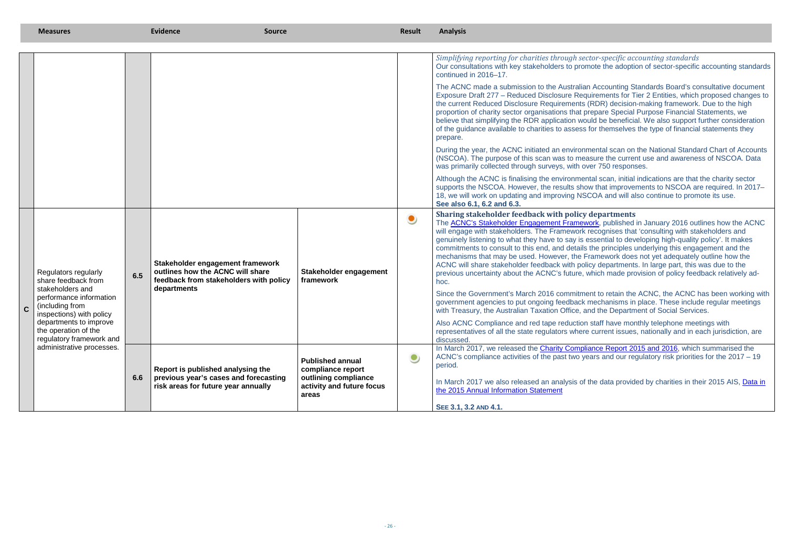#### *Simplifying reporting for charities through sector-specific accounting standards* Our consultations with key stakeholders to promote the adoption of sector-specific accounting standards

> ntal scan on the National Standard Chart of Accounts (NSCOA). The current use and awareness of NSCOA. Data  $750$  responses.

#### **Solution Exercise**

> to retain the ACNC, the ACNC has been working with echanisms in place. These include regular meetings the Department of Social Services.

data provided by charities in their 2015 AIS, Data in

|             | <b>Measures</b>                                                                                                                                                                                                                                      |     | <b>Evidence</b><br><b>Source</b>                                                                                              |                                                            | <b>Result</b> | <b>Analysis</b>                                                                                                                                                                                                                                                                                                                                                                                                                                                                                                                                                                                                                                                                                                                                                                                                                                                                            |
|-------------|------------------------------------------------------------------------------------------------------------------------------------------------------------------------------------------------------------------------------------------------------|-----|-------------------------------------------------------------------------------------------------------------------------------|------------------------------------------------------------|---------------|--------------------------------------------------------------------------------------------------------------------------------------------------------------------------------------------------------------------------------------------------------------------------------------------------------------------------------------------------------------------------------------------------------------------------------------------------------------------------------------------------------------------------------------------------------------------------------------------------------------------------------------------------------------------------------------------------------------------------------------------------------------------------------------------------------------------------------------------------------------------------------------------|
|             |                                                                                                                                                                                                                                                      |     |                                                                                                                               |                                                            |               |                                                                                                                                                                                                                                                                                                                                                                                                                                                                                                                                                                                                                                                                                                                                                                                                                                                                                            |
|             |                                                                                                                                                                                                                                                      |     |                                                                                                                               |                                                            |               | Simplifying reporting for charities through sector-specific accounting standards<br>Our consultations with key stakeholders to promote the adoption of sector-specific accounting stand<br>continued in 2016-17.                                                                                                                                                                                                                                                                                                                                                                                                                                                                                                                                                                                                                                                                           |
|             |                                                                                                                                                                                                                                                      |     |                                                                                                                               |                                                            |               | The ACNC made a submission to the Australian Accounting Standards Board's consultative docum<br>Exposure Draft 277 - Reduced Disclosure Requirements for Tier 2 Entities, which proposed change<br>the current Reduced Disclosure Requirements (RDR) decision-making framework. Due to the high<br>proportion of charity sector organisations that prepare Special Purpose Financial Statements, we<br>believe that simplifying the RDR application would be beneficial. We also support further considerat<br>of the guidance available to charities to assess for themselves the type of financial statements they<br>prepare.                                                                                                                                                                                                                                                           |
|             |                                                                                                                                                                                                                                                      |     |                                                                                                                               |                                                            |               | During the year, the ACNC initiated an environmental scan on the National Standard Chart of Acco<br>(NSCOA). The purpose of this scan was to measure the current use and awareness of NSCOA. Da<br>was primarily collected through surveys, with over 750 responses.                                                                                                                                                                                                                                                                                                                                                                                                                                                                                                                                                                                                                       |
|             |                                                                                                                                                                                                                                                      |     |                                                                                                                               |                                                            |               | Although the ACNC is finalising the environmental scan, initial indications are that the charity sector<br>supports the NSCOA. However, the results show that improvements to NSCOA are required. In 2014<br>18, we will work on updating and improving NSCOA and will also continue to promote its use.<br>See also 6.1, 6.2 and 6.3.                                                                                                                                                                                                                                                                                                                                                                                                                                                                                                                                                     |
|             | Regulators regularly<br>share feedback from<br>stakeholders and<br>performance information<br>(including from<br>inspections) with policy<br>departments to improve<br>the operation of the<br>regulatory framework and<br>administrative processes. | 6.5 | Stakeholder engagement framework<br>outlines how the ACNC will share<br>feedback from stakeholders with policy<br>departments | Stakeholder engagement<br>framework                        | $\bullet$     | Sharing stakeholder feedback with policy departments<br>The <b>ACNC's Stakeholder Engagement Framework</b> , published in January 2016 outlines how the AC<br>will engage with stakeholders. The Framework recognises that 'consulting with stakeholders and<br>genuinely listening to what they have to say is essential to developing high-quality policy'. It makes<br>commitments to consult to this end, and details the principles underlying this engagement and the<br>mechanisms that may be used. However, the Framework does not yet adequately outline how the<br>ACNC will share stakeholder feedback with policy departments. In large part, this was due to the<br>previous uncertainty about the ACNC's future, which made provision of policy feedback relatively a<br>hoc.<br>Since the Government's March 2016 commitment to retain the ACNC, the ACNC has been working |
| $\mathbf C$ |                                                                                                                                                                                                                                                      |     |                                                                                                                               |                                                            |               | government agencies to put ongoing feedback mechanisms in place. These include regular meeting<br>with Treasury, the Australian Taxation Office, and the Department of Social Services.<br>Also ACNC Compliance and red tape reduction staff have monthly telephone meetings with<br>representatives of all the state regulators where current issues, nationally and in each jurisdiction, a                                                                                                                                                                                                                                                                                                                                                                                                                                                                                              |
|             |                                                                                                                                                                                                                                                      |     | Report is published analysing the                                                                                             | <b>Published annual</b><br>compliance report               | $\bullet$     | discussed.<br>In March 2017, we released the Charity Compliance Report 2015 and 2016, which summarised the<br>ACNC's compliance activities of the past two years and our regulatory risk priorities for the 2017 –<br>period.                                                                                                                                                                                                                                                                                                                                                                                                                                                                                                                                                                                                                                                              |
|             |                                                                                                                                                                                                                                                      | 6.6 | previous year's cases and forecasting<br>risk areas for future year annually                                                  | outlining compliance<br>activity and future focus<br>areas |               | In March 2017 we also released an analysis of the data provided by charities in their 2015 AIS, Dat<br>the 2015 Annual Information Statement                                                                                                                                                                                                                                                                                                                                                                                                                                                                                                                                                                                                                                                                                                                                               |
|             |                                                                                                                                                                                                                                                      |     |                                                                                                                               |                                                            |               | SEE 3.1, 3.2 AND 4.1.                                                                                                                                                                                                                                                                                                                                                                                                                                                                                                                                                                                                                                                                                                                                                                                                                                                                      |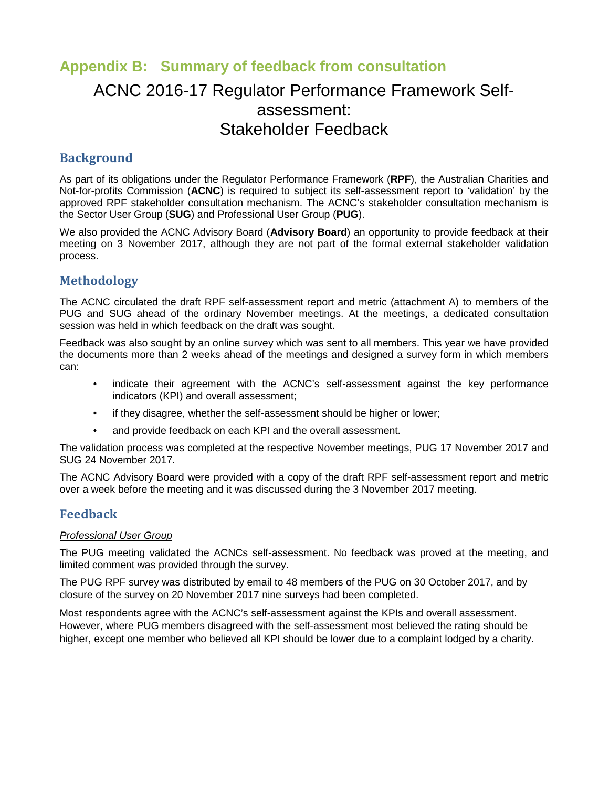# **Appendix B: Summary of feedback from consultation**

# ACNC 2016-17 Regulator Performance Framework Selfassessment: Stakeholder Feedback

## **Background**

As part of its obligations under the Regulator Performance Framework (**RPF**), the Australian Charities and Not-for-profits Commission (**ACNC**) is required to subject its self-assessment report to 'validation' by the approved RPF stakeholder consultation mechanism. The ACNC's stakeholder consultation mechanism is the Sector User Group (**SUG**) and Professional User Group (**PUG**).

We also provided the ACNC Advisory Board (**Advisory Board**) an opportunity to provide feedback at their meeting on 3 November 2017, although they are not part of the formal external stakeholder validation process.

# **Methodology**

The ACNC circulated the draft RPF self-assessment report and metric (attachment A) to members of the PUG and SUG ahead of the ordinary November meetings. At the meetings, a dedicated consultation session was held in which feedback on the draft was sought.

Feedback was also sought by an online survey which was sent to all members. This year we have provided the documents more than 2 weeks ahead of the meetings and designed a survey form in which members can:

- indicate their agreement with the ACNC's self-assessment against the key performance indicators (KPI) and overall assessment;
- if they disagree, whether the self-assessment should be higher or lower;
- and provide feedback on each KPI and the overall assessment.

The validation process was completed at the respective November meetings, PUG 17 November 2017 and SUG 24 November 2017.

The ACNC Advisory Board were provided with a copy of the draft RPF self-assessment report and metric over a week before the meeting and it was discussed during the 3 November 2017 meeting.

## **Feedback**

#### Professional User Group

The PUG meeting validated the ACNCs self-assessment. No feedback was proved at the meeting, and limited comment was provided through the survey.

The PUG RPF survey was distributed by email to 48 members of the PUG on 30 October 2017, and by closure of the survey on 20 November 2017 nine surveys had been completed.

Most respondents agree with the ACNC's self-assessment against the KPIs and overall assessment. However, where PUG members disagreed with the self-assessment most believed the rating should be higher, except one member who believed all KPI should be lower due to a complaint lodged by a charity.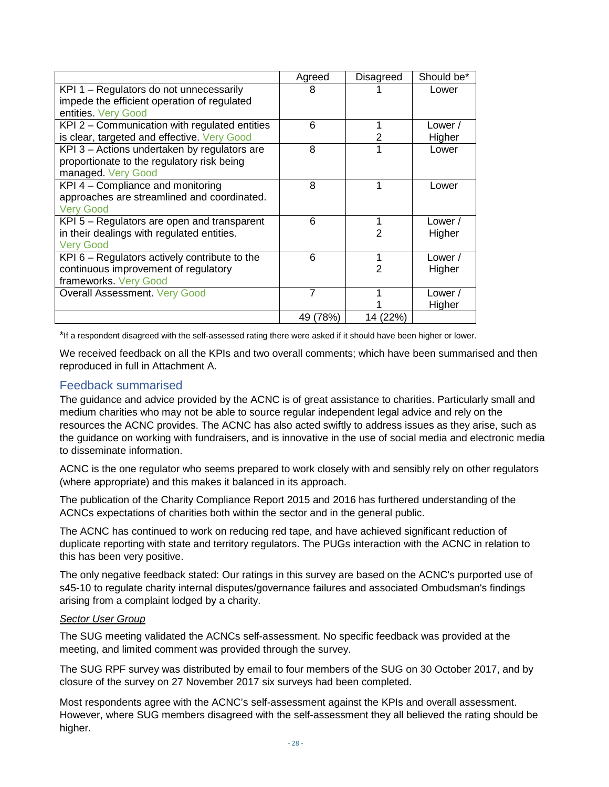|                                                 | Agreed   | Disagreed | Should be* |
|-------------------------------------------------|----------|-----------|------------|
| KPI 1 - Regulators do not unnecessarily         | 8        |           | Lower      |
| impede the efficient operation of regulated     |          |           |            |
| entities. Very Good                             |          |           |            |
| KPI 2 – Communication with regulated entities   | 6        |           | Lower /    |
| is clear, targeted and effective. Very Good     |          | 2         | Higher     |
| KPI 3 – Actions undertaken by regulators are    | 8        |           | Lower      |
| proportionate to the regulatory risk being      |          |           |            |
| managed. Very Good                              |          |           |            |
| KPI 4 - Compliance and monitoring               | 8        |           | Lower      |
| approaches are streamlined and coordinated.     |          |           |            |
| <b>Very Good</b>                                |          |           |            |
| KPI 5 - Regulators are open and transparent     | 6        |           | Lower /    |
| in their dealings with regulated entities.      |          | 2         | Higher     |
| <b>Very Good</b>                                |          |           |            |
| KPI $6$ – Regulators actively contribute to the | 6        |           | Lower /    |
| continuous improvement of regulatory            |          | 2         | Higher     |
| frameworks. Very Good                           |          |           |            |
| <b>Overall Assessment. Very Good</b>            | 7        |           | Lower /    |
|                                                 |          |           | Higher     |
|                                                 | 49 (78%) | 14 (22%)  |            |

\*If a respondent disagreed with the self-assessed rating there were asked if it should have been higher or lower.

We received feedback on all the KPIs and two overall comments; which have been summarised and then reproduced in full in Attachment A.

### Feedback summarised

The guidance and advice provided by the ACNC is of great assistance to charities. Particularly small and medium charities who may not be able to source regular independent legal advice and rely on the resources the ACNC provides. The ACNC has also acted swiftly to address issues as they arise, such as the guidance on working with fundraisers, and is innovative in the use of social media and electronic media to disseminate information.

ACNC is the one regulator who seems prepared to work closely with and sensibly rely on other regulators (where appropriate) and this makes it balanced in its approach.

The publication of the Charity Compliance Report 2015 and 2016 has furthered understanding of the ACNCs expectations of charities both within the sector and in the general public.

The ACNC has continued to work on reducing red tape, and have achieved significant reduction of duplicate reporting with state and territory regulators. The PUGs interaction with the ACNC in relation to this has been very positive.

The only negative feedback stated: Our ratings in this survey are based on the ACNC's purported use of s45-10 to regulate charity internal disputes/governance failures and associated Ombudsman's findings arising from a complaint lodged by a charity.

#### Sector User Group

The SUG meeting validated the ACNCs self-assessment. No specific feedback was provided at the meeting, and limited comment was provided through the survey.

The SUG RPF survey was distributed by email to four members of the SUG on 30 October 2017, and by closure of the survey on 27 November 2017 six surveys had been completed.

Most respondents agree with the ACNC's self-assessment against the KPIs and overall assessment. However, where SUG members disagreed with the self-assessment they all believed the rating should be higher.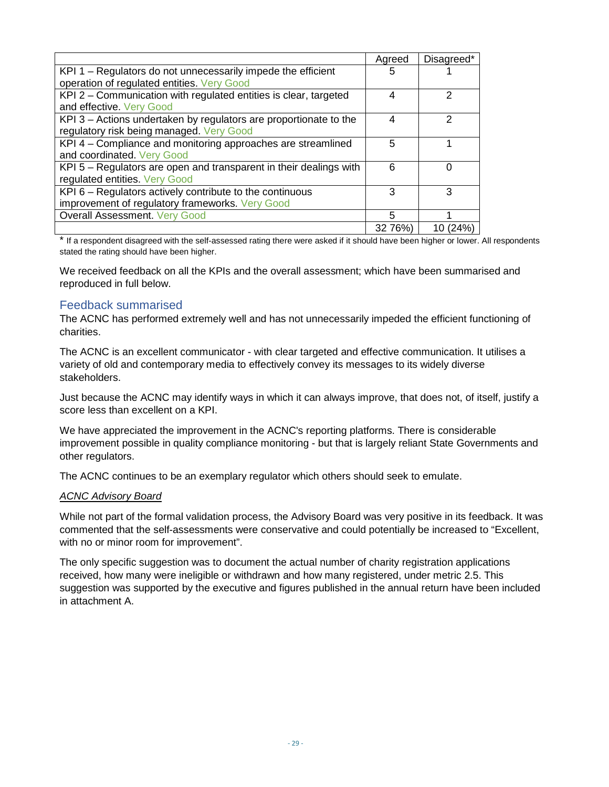|                                                                    | Agreed  | Disagreed*  |
|--------------------------------------------------------------------|---------|-------------|
| KPI 1 – Regulators do not unnecessarily impede the efficient       | 5       |             |
| operation of regulated entities. Very Good                         |         |             |
| KPI 2 - Communication with regulated entities is clear, targeted   | 4       | 2           |
| and effective. Very Good                                           |         |             |
| KPI 3 – Actions undertaken by regulators are proportionate to the  | 4       | 2           |
| regulatory risk being managed. Very Good                           |         |             |
| KPI 4 - Compliance and monitoring approaches are streamlined       | 5       |             |
| and coordinated. Very Good                                         |         |             |
| KPI 5 – Regulators are open and transparent in their dealings with | 6       |             |
| regulated entities. Very Good                                      |         |             |
| KPI 6 – Regulators actively contribute to the continuous           | 3       | З           |
| improvement of regulatory frameworks. Very Good                    |         |             |
| Overall Assessment. Very Good                                      | 5       |             |
|                                                                    | 32 76%) | (24%)<br>10 |

\* If a respondent disagreed with the self-assessed rating there were asked if it should have been higher or lower. All respondents stated the rating should have been higher.

We received feedback on all the KPIs and the overall assessment; which have been summarised and reproduced in full below.

### Feedback summarised

The ACNC has performed extremely well and has not unnecessarily impeded the efficient functioning of charities.

The ACNC is an excellent communicator - with clear targeted and effective communication. It utilises a variety of old and contemporary media to effectively convey its messages to its widely diverse stakeholders.

Just because the ACNC may identify ways in which it can always improve, that does not, of itself, justify a score less than excellent on a KPI.

We have appreciated the improvement in the ACNC's reporting platforms. There is considerable improvement possible in quality compliance monitoring - but that is largely reliant State Governments and other regulators.

The ACNC continues to be an exemplary regulator which others should seek to emulate.

#### ACNC Advisory Board

While not part of the formal validation process, the Advisory Board was very positive in its feedback. It was commented that the self-assessments were conservative and could potentially be increased to "Excellent, with no or minor room for improvement".

The only specific suggestion was to document the actual number of charity registration applications received, how many were ineligible or withdrawn and how many registered, under metric 2.5. This suggestion was supported by the executive and figures published in the annual return have been included in attachment A.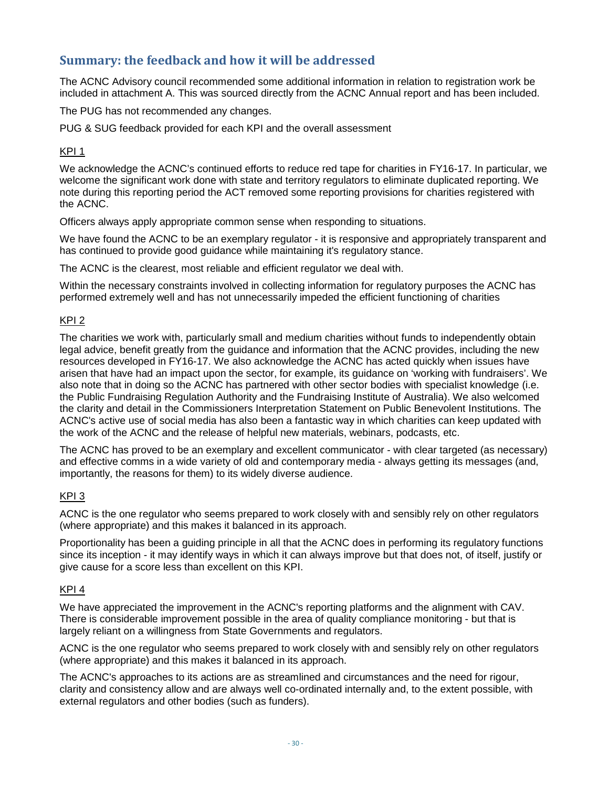# **Summary: the feedback and how it will be addressed**

The ACNC Advisory council recommended some additional information in relation to registration work be included in attachment A. This was sourced directly from the ACNC Annual report and has been included.

The PUG has not recommended any changes.

PUG & SUG feedback provided for each KPI and the overall assessment

#### KPI 1

We acknowledge the ACNC's continued efforts to reduce red tape for charities in FY16-17. In particular, we welcome the significant work done with state and territory regulators to eliminate duplicated reporting. We note during this reporting period the ACT removed some reporting provisions for charities registered with the ACNC.

Officers always apply appropriate common sense when responding to situations.

We have found the ACNC to be an exemplary regulator - it is responsive and appropriately transparent and has continued to provide good guidance while maintaining it's regulatory stance.

The ACNC is the clearest, most reliable and efficient regulator we deal with.

Within the necessary constraints involved in collecting information for regulatory purposes the ACNC has performed extremely well and has not unnecessarily impeded the efficient functioning of charities

#### KPI 2

The charities we work with, particularly small and medium charities without funds to independently obtain legal advice, benefit greatly from the guidance and information that the ACNC provides, including the new resources developed in FY16-17. We also acknowledge the ACNC has acted quickly when issues have arisen that have had an impact upon the sector, for example, its guidance on 'working with fundraisers'. We also note that in doing so the ACNC has partnered with other sector bodies with specialist knowledge (i.e. the Public Fundraising Regulation Authority and the Fundraising Institute of Australia). We also welcomed the clarity and detail in the Commissioners Interpretation Statement on Public Benevolent Institutions. The ACNC's active use of social media has also been a fantastic way in which charities can keep updated with the work of the ACNC and the release of helpful new materials, webinars, podcasts, etc.

The ACNC has proved to be an exemplary and excellent communicator - with clear targeted (as necessary) and effective comms in a wide variety of old and contemporary media - always getting its messages (and, importantly, the reasons for them) to its widely diverse audience.

#### $KPI$  3

ACNC is the one regulator who seems prepared to work closely with and sensibly rely on other regulators (where appropriate) and this makes it balanced in its approach.

Proportionality has been a guiding principle in all that the ACNC does in performing its regulatory functions since its inception - it may identify ways in which it can always improve but that does not, of itself, justify or give cause for a score less than excellent on this KPI.

#### KPI 4

We have appreciated the improvement in the ACNC's reporting platforms and the alignment with CAV. There is considerable improvement possible in the area of quality compliance monitoring - but that is largely reliant on a willingness from State Governments and regulators.

ACNC is the one regulator who seems prepared to work closely with and sensibly rely on other regulators (where appropriate) and this makes it balanced in its approach.

The ACNC's approaches to its actions are as streamlined and circumstances and the need for rigour, clarity and consistency allow and are always well co-ordinated internally and, to the extent possible, with external regulators and other bodies (such as funders).